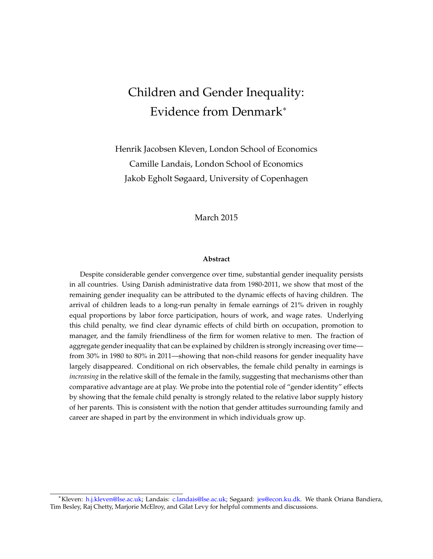# Children and Gender Inequality: Evidence from Denmark<sup>∗</sup>

Henrik Jacobsen Kleven, London School of Economics Camille Landais, London School of Economics Jakob Egholt Søgaard, University of Copenhagen

#### March 2015

#### **Abstract**

Despite considerable gender convergence over time, substantial gender inequality persists in all countries. Using Danish administrative data from 1980-2011, we show that most of the remaining gender inequality can be attributed to the dynamic effects of having children. The arrival of children leads to a long-run penalty in female earnings of 21% driven in roughly equal proportions by labor force participation, hours of work, and wage rates. Underlying this child penalty, we find clear dynamic effects of child birth on occupation, promotion to manager, and the family friendliness of the firm for women relative to men. The fraction of aggregate gender inequality that can be explained by children is strongly increasing over time from 30% in 1980 to 80% in 2011—showing that non-child reasons for gender inequality have largely disappeared. Conditional on rich observables, the female child penalty in earnings is *increasing* in the relative skill of the female in the family, suggesting that mechanisms other than comparative advantage are at play. We probe into the potential role of "gender identity" effects by showing that the female child penalty is strongly related to the relative labor supply history of her parents. This is consistent with the notion that gender attitudes surrounding family and career are shaped in part by the environment in which individuals grow up.

<sup>∗</sup>Kleven: [h.j.kleven@lse.ac.uk;](mailto:h.j.kleven@lse.ac.uk) Landais: [c.landais@lse.ac.uk;](mailto:c.landais@lse.ac.uk) Søgaard: [jes@econ.ku.dk.](mailto:jes@econ.ku.dk) We thank Oriana Bandiera, Tim Besley, Raj Chetty, Marjorie McElroy, and Gilat Levy for helpful comments and discussions.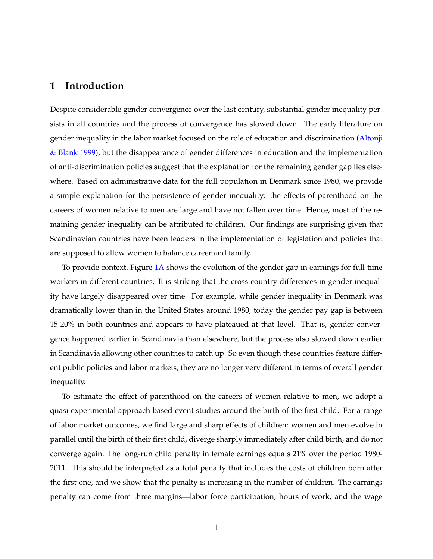### **1 Introduction**

Despite considerable gender convergence over the last century, substantial gender inequality persists in all countries and the process of convergence has slowed down. The early literature on gender inequality in the labor market focused on the role of education and discrimination [\(Altonji](#page-27-0) [& Blank](#page-27-0) [1999\)](#page-27-0), but the disappearance of gender differences in education and the implementation of anti-discrimination policies suggest that the explanation for the remaining gender gap lies elsewhere. Based on administrative data for the full population in Denmark since 1980, we provide a simple explanation for the persistence of gender inequality: the effects of parenthood on the careers of women relative to men are large and have not fallen over time. Hence, most of the remaining gender inequality can be attributed to children. Our findings are surprising given that Scandinavian countries have been leaders in the implementation of legislation and policies that are supposed to allow women to balance career and family.

To provide context, Figure [1A](#page-29-0) shows the evolution of the gender gap in earnings for full-time workers in different countries. It is striking that the cross-country differences in gender inequality have largely disappeared over time. For example, while gender inequality in Denmark was dramatically lower than in the United States around 1980, today the gender pay gap is between 15-20% in both countries and appears to have plateaued at that level. That is, gender convergence happened earlier in Scandinavia than elsewhere, but the process also slowed down earlier in Scandinavia allowing other countries to catch up. So even though these countries feature different public policies and labor markets, they are no longer very different in terms of overall gender inequality.

To estimate the effect of parenthood on the careers of women relative to men, we adopt a quasi-experimental approach based event studies around the birth of the first child. For a range of labor market outcomes, we find large and sharp effects of children: women and men evolve in parallel until the birth of their first child, diverge sharply immediately after child birth, and do not converge again. The long-run child penalty in female earnings equals 21% over the period 1980- 2011. This should be interpreted as a total penalty that includes the costs of children born after the first one, and we show that the penalty is increasing in the number of children. The earnings penalty can come from three margins—labor force participation, hours of work, and the wage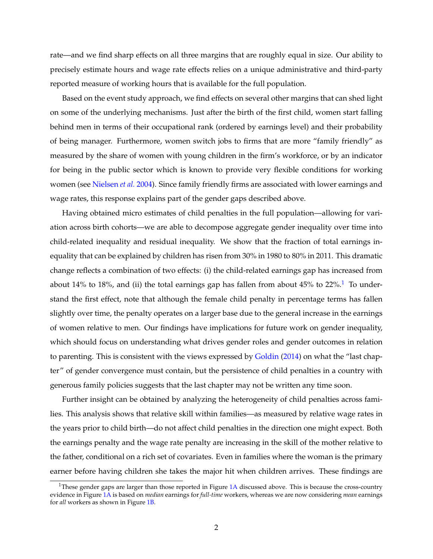rate—and we find sharp effects on all three margins that are roughly equal in size. Our ability to precisely estimate hours and wage rate effects relies on a unique administrative and third-party reported measure of working hours that is available for the full population.

Based on the event study approach, we find effects on several other margins that can shed light on some of the underlying mechanisms. Just after the birth of the first child, women start falling behind men in terms of their occupational rank (ordered by earnings level) and their probability of being manager. Furthermore, women switch jobs to firms that are more "family friendly" as measured by the share of women with young children in the firm's workforce, or by an indicator for being in the public sector which is known to provide very flexible conditions for working women (see [Nielsen](#page-28-0) *et al.* [2004\)](#page-28-0). Since family friendly firms are associated with lower earnings and wage rates, this response explains part of the gender gaps described above.

Having obtained micro estimates of child penalties in the full population—allowing for variation across birth cohorts—we are able to decompose aggregate gender inequality over time into child-related inequality and residual inequality. We show that the fraction of total earnings inequality that can be explained by children has risen from 30% in 1980 to 80% in 2011. This dramatic change reflects a combination of two effects: (i) the child-related earnings gap has increased from about [1](#page-2-0)4% to 18%, and (ii) the total earnings gap has fallen from about  $45%$  to  $22\%$ .<sup>1</sup> To understand the first effect, note that although the female child penalty in percentage terms has fallen slightly over time, the penalty operates on a larger base due to the general increase in the earnings of women relative to men. Our findings have implications for future work on gender inequality, which should focus on understanding what drives gender roles and gender outcomes in relation to parenting. This is consistent with the views expressed by [Goldin](#page-28-1) [\(2014\)](#page-28-1) on what the "last chapter" of gender convergence must contain, but the persistence of child penalties in a country with generous family policies suggests that the last chapter may not be written any time soon.

Further insight can be obtained by analyzing the heterogeneity of child penalties across families. This analysis shows that relative skill within families—as measured by relative wage rates in the years prior to child birth—do not affect child penalties in the direction one might expect. Both the earnings penalty and the wage rate penalty are increasing in the skill of the mother relative to the father, conditional on a rich set of covariates. Even in families where the woman is the primary earner before having children she takes the major hit when children arrives. These findings are

<span id="page-2-0"></span><sup>&</sup>lt;sup>1</sup>These gender gaps are larger than those reported in Figure  $1A$  discussed above. This is because the cross-country evidence in Figure [1A](#page-29-0) is based on *median* earnings for *full-time* workers, whereas we are now considering *mean* earnings for *all* workers as shown in Figure [1B](#page-29-0).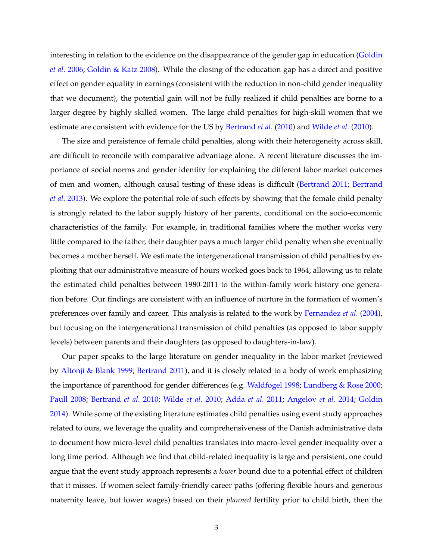interesting in relation to the evidence on the disappearance of the gender gap in education [\(Goldin](#page-28-2) *[et al.](#page-28-2)* [2006;](#page-28-2) [Goldin & Katz](#page-28-3) [2008\)](#page-28-3). While the closing of the education gap has a direct and positive effect on gender equality in earnings (consistent with the reduction in non-child gender inequality that we document), the potential gain will not be fully realized if child penalties are borne to a larger degree by highly skilled women. The large child penalties for high-skill women that we estimate are consistent with evidence for the US by [Bertrand](#page-27-1) *et al.* [\(2010\)](#page-27-1) and [Wilde](#page-28-4) *et al.* [\(2010\)](#page-28-4).

The size and persistence of female child penalties, along with their heterogeneity across skill, are difficult to reconcile with comparative advantage alone. A recent literature discusses the importance of social norms and gender identity for explaining the different labor market outcomes of men and women, although causal testing of these ideas is difficult [\(Bertrand](#page-27-2) [2011;](#page-27-2) [Bertrand](#page-27-3) *[et al.](#page-27-3)* [2013\)](#page-27-3). We explore the potential role of such effects by showing that the female child penalty is strongly related to the labor supply history of her parents, conditional on the socio-economic characteristics of the family. For example, in traditional families where the mother works very little compared to the father, their daughter pays a much larger child penalty when she eventually becomes a mother herself. We estimate the intergenerational transmission of child penalties by exploiting that our administrative measure of hours worked goes back to 1964, allowing us to relate the estimated child penalties between 1980-2011 to the within-family work history one generation before. Our findings are consistent with an influence of nurture in the formation of women's preferences over family and career. This analysis is related to the work by [Fernandez](#page-27-4) *et al.* [\(2004\)](#page-27-4), but focusing on the intergenerational transmission of child penalties (as opposed to labor supply levels) between parents and their daughters (as opposed to daughters-in-law).

Our paper speaks to the large literature on gender inequality in the labor market (reviewed by [Altonji & Blank](#page-27-0) [1999;](#page-27-0) [Bertrand](#page-27-2) [2011\)](#page-27-2), and it is closely related to a body of work emphasizing the importance of parenthood for gender differences (e.g. [Waldfogel](#page-28-5) [1998;](#page-28-5) [Lundberg & Rose](#page-28-6) [2000;](#page-28-6) [Paull](#page-28-7) [2008;](#page-28-7) [Bertrand](#page-27-1) *et al.* [2010;](#page-27-1) [Wilde](#page-28-4) *et al.* [2010;](#page-28-4) [Adda](#page-27-5) *et al.* [2011;](#page-27-5) [Angelov](#page-27-6) *et al.* [2014;](#page-27-6) [Goldin](#page-28-1) [2014\)](#page-28-1). While some of the existing literature estimates child penalties using event study approaches related to ours, we leverage the quality and comprehensiveness of the Danish administrative data to document how micro-level child penalties translates into macro-level gender inequality over a long time period. Although we find that child-related inequality is large and persistent, one could argue that the event study approach represents a *lower* bound due to a potential effect of children that it misses. If women select family-friendly career paths (offering flexible hours and generous maternity leave, but lower wages) based on their *planned* fertility prior to child birth, then the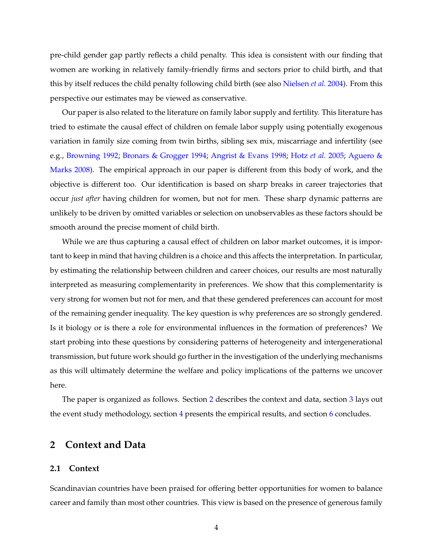pre-child gender gap partly reflects a child penalty. This idea is consistent with our finding that women are working in relatively family-friendly firms and sectors prior to child birth, and that this by itself reduces the child penalty following child birth (see also [Nielsen](#page-28-0) *et al.* [2004\)](#page-28-0). From this perspective our estimates may be viewed as conservative.

Our paper is also related to the literature on family labor supply and fertility. This literature has tried to estimate the causal effect of children on female labor supply using potentially exogenous variation in family size coming from twin births, sibling sex mix, miscarriage and infertility (see e.g., [Browning](#page-27-7) [1992;](#page-27-7) [Bronars & Grogger](#page-27-8) [1994;](#page-27-8) [Angrist & Evans](#page-27-9) [1998;](#page-27-9) [Hotz](#page-28-8) *et al.* [2005;](#page-28-8) [Aguero &](#page-27-10) [Marks](#page-27-10) [2008\)](#page-27-10). The empirical approach in our paper is different from this body of work, and the objective is different too. Our identification is based on sharp breaks in career trajectories that occur *just after* having children for women, but not for men. These sharp dynamic patterns are unlikely to be driven by omitted variables or selection on unobservables as these factors should be smooth around the precise moment of child birth.

While we are thus capturing a causal effect of children on labor market outcomes, it is important to keep in mind that having children is a choice and this affects the interpretation. In particular, by estimating the relationship between children and career choices, our results are most naturally interpreted as measuring complementarity in preferences. We show that this complementarity is very strong for women but not for men, and that these gendered preferences can account for most of the remaining gender inequality. The key question is why preferences are so strongly gendered. Is it biology or is there a role for environmental influences in the formation of preferences? We start probing into these questions by considering patterns of heterogeneity and intergenerational transmission, but future work should go further in the investigation of the underlying mechanisms as this will ultimately determine the welfare and policy implications of the patterns we uncover here.

The paper is organized as follows. Section [2](#page-4-0) describes the context and data, section [3](#page-7-0) lays out the event study methodology, section [4](#page-10-0) presents the empirical results, and section [6](#page-25-0) concludes.

#### <span id="page-4-0"></span>**2 Context and Data**

#### <span id="page-4-1"></span>**2.1 Context**

Scandinavian countries have been praised for offering better opportunities for women to balance career and family than most other countries. This view is based on the presence of generous family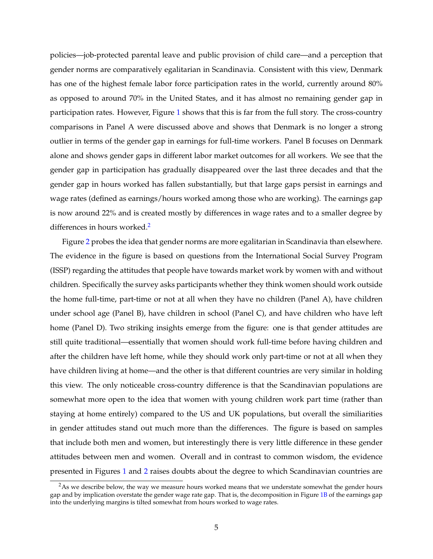policies—job-protected parental leave and public provision of child care—and a perception that gender norms are comparatively egalitarian in Scandinavia. Consistent with this view, Denmark has one of the highest female labor force participation rates in the world, currently around 80% as opposed to around 70% in the United States, and it has almost no remaining gender gap in participation rates. However, Figure [1](#page-29-0) shows that this is far from the full story. The cross-country comparisons in Panel A were discussed above and shows that Denmark is no longer a strong outlier in terms of the gender gap in earnings for full-time workers. Panel B focuses on Denmark alone and shows gender gaps in different labor market outcomes for all workers. We see that the gender gap in participation has gradually disappeared over the last three decades and that the gender gap in hours worked has fallen substantially, but that large gaps persist in earnings and wage rates (defined as earnings/hours worked among those who are working). The earnings gap is now around 22% and is created mostly by differences in wage rates and to a smaller degree by differences in hours worked. $2$ 

Figure [2](#page-30-0) probes the idea that gender norms are more egalitarian in Scandinavia than elsewhere. The evidence in the figure is based on questions from the International Social Survey Program (ISSP) regarding the attitudes that people have towards market work by women with and without children. Specifically the survey asks participants whether they think women should work outside the home full-time, part-time or not at all when they have no children (Panel A), have children under school age (Panel B), have children in school (Panel C), and have children who have left home (Panel D). Two striking insights emerge from the figure: one is that gender attitudes are still quite traditional—essentially that women should work full-time before having children and after the children have left home, while they should work only part-time or not at all when they have children living at home—and the other is that different countries are very similar in holding this view. The only noticeable cross-country difference is that the Scandinavian populations are somewhat more open to the idea that women with young children work part time (rather than staying at home entirely) compared to the US and UK populations, but overall the similiarities in gender attitudes stand out much more than the differences. The figure is based on samples that include both men and women, but interestingly there is very little difference in these gender attitudes between men and women. Overall and in contrast to common wisdom, the evidence presented in Figures [1](#page-29-0) and [2](#page-30-0) raises doubts about the degree to which Scandinavian countries are

<span id="page-5-0"></span> $2$ As we describe below, the way we measure hours worked means that we understate somewhat the gender hours gap and by implication overstate the gender wage rate gap. That is, the decomposition in Figure [1B](#page-29-0) of the earnings gap into the underlying margins is tilted somewhat from hours worked to wage rates.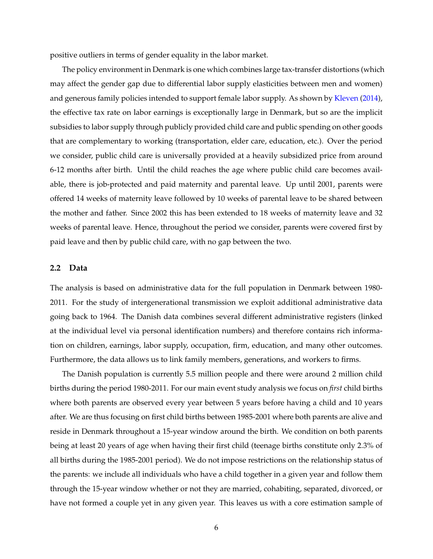positive outliers in terms of gender equality in the labor market.

The policy environment in Denmark is one which combines large tax-transfer distortions (which may affect the gender gap due to differential labor supply elasticities between men and women) and generous family policies intended to support female labor supply. As shown by [Kleven](#page-28-9) [\(2014\)](#page-28-9), the effective tax rate on labor earnings is exceptionally large in Denmark, but so are the implicit subsidies to labor supply through publicly provided child care and public spending on other goods that are complementary to working (transportation, elder care, education, etc.). Over the period we consider, public child care is universally provided at a heavily subsidized price from around 6-12 months after birth. Until the child reaches the age where public child care becomes available, there is job-protected and paid maternity and parental leave. Up until 2001, parents were offered 14 weeks of maternity leave followed by 10 weeks of parental leave to be shared between the mother and father. Since 2002 this has been extended to 18 weeks of maternity leave and 32 weeks of parental leave. Hence, throughout the period we consider, parents were covered first by paid leave and then by public child care, with no gap between the two.

#### <span id="page-6-0"></span>**2.2 Data**

The analysis is based on administrative data for the full population in Denmark between 1980- 2011. For the study of intergenerational transmission we exploit additional administrative data going back to 1964. The Danish data combines several different administrative registers (linked at the individual level via personal identification numbers) and therefore contains rich information on children, earnings, labor supply, occupation, firm, education, and many other outcomes. Furthermore, the data allows us to link family members, generations, and workers to firms.

The Danish population is currently 5.5 million people and there were around 2 million child births during the period 1980-2011. For our main event study analysis we focus on *first* child births where both parents are observed every year between 5 years before having a child and 10 years after. We are thus focusing on first child births between 1985-2001 where both parents are alive and reside in Denmark throughout a 15-year window around the birth. We condition on both parents being at least 20 years of age when having their first child (teenage births constitute only 2.3% of all births during the 1985-2001 period). We do not impose restrictions on the relationship status of the parents: we include all individuals who have a child together in a given year and follow them through the 15-year window whether or not they are married, cohabiting, separated, divorced, or have not formed a couple yet in any given year. This leaves us with a core estimation sample of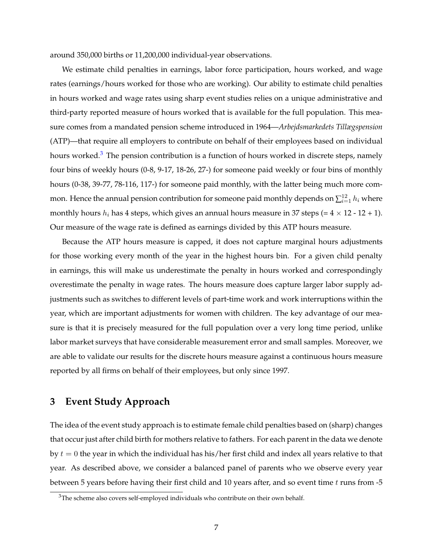around 350,000 births or 11,200,000 individual-year observations.

We estimate child penalties in earnings, labor force participation, hours worked, and wage rates (earnings/hours worked for those who are working). Our ability to estimate child penalties in hours worked and wage rates using sharp event studies relies on a unique administrative and third-party reported measure of hours worked that is available for the full population. This measure comes from a mandated pension scheme introduced in 1964—*Arbejdsmarkedets Tillægspension* (ATP)—that require all employers to contribute on behalf of their employees based on individual hours worked.<sup>[3](#page-7-1)</sup> The pension contribution is a function of hours worked in discrete steps, namely four bins of weekly hours (0-8, 9-17, 18-26, 27-) for someone paid weekly or four bins of monthly hours (0-38, 39-77, 78-116, 117-) for someone paid monthly, with the latter being much more common. Hence the annual pension contribution for someone paid monthly depends on  $\sum_{i=1}^{12} h_i$  where monthly hours  $h_i$  has 4 steps, which gives an annual hours measure in 37 steps (=  $4 \times 12 - 12 + 1$ ). Our measure of the wage rate is defined as earnings divided by this ATP hours measure.

Because the ATP hours measure is capped, it does not capture marginal hours adjustments for those working every month of the year in the highest hours bin. For a given child penalty in earnings, this will make us underestimate the penalty in hours worked and correspondingly overestimate the penalty in wage rates. The hours measure does capture larger labor supply adjustments such as switches to different levels of part-time work and work interruptions within the year, which are important adjustments for women with children. The key advantage of our measure is that it is precisely measured for the full population over a very long time period, unlike labor market surveys that have considerable measurement error and small samples. Moreover, we are able to validate our results for the discrete hours measure against a continuous hours measure reported by all firms on behalf of their employees, but only since 1997.

## <span id="page-7-0"></span>**3 Event Study Approach**

The idea of the event study approach is to estimate female child penalties based on (sharp) changes that occur just after child birth for mothers relative to fathers. For each parent in the data we denote by  $t = 0$  the year in which the individual has his/her first child and index all years relative to that year. As described above, we consider a balanced panel of parents who we observe every year between 5 years before having their first child and 10 years after, and so event time  $t$  runs from -5

<span id="page-7-1"></span><sup>&</sup>lt;sup>3</sup>The scheme also covers self-employed individuals who contribute on their own behalf.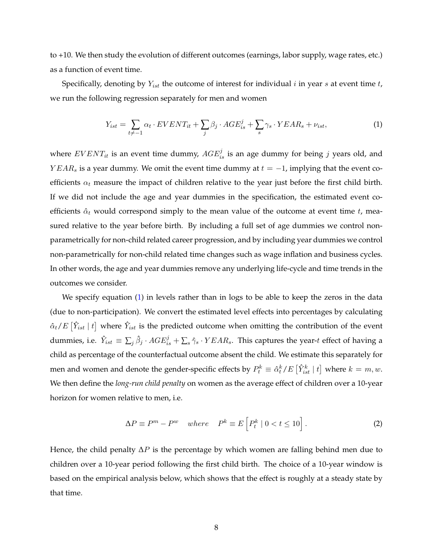to +10. We then study the evolution of different outcomes (earnings, labor supply, wage rates, etc.) as a function of event time.

Specifically, denoting by  $Y_{ist}$  the outcome of interest for individual  $i$  in year  $s$  at event time  $t$ , we run the following regression separately for men and women

<span id="page-8-0"></span>
$$
Y_{ist} = \sum_{t \neq -1} \alpha_t \cdot EVENT_{it} + \sum_j \beta_j \cdot AGE_{is}^j + \sum_s \gamma_s \cdot YEAR_s + \nu_{ist},\tag{1}
$$

where  $EVENT_{it}$  is an event time dummy,  $AGE_{is}^j$  is an age dummy for being j years old, and  $YEAR_s$  is a year dummy. We omit the event time dummy at  $t = -1$ , implying that the event coefficients  $\alpha_t$  measure the impact of children relative to the year just before the first child birth. If we did not include the age and year dummies in the specification, the estimated event coefficients  $\hat{\alpha}_t$  would correspond simply to the mean value of the outcome at event time t, measured relative to the year before birth. By including a full set of age dummies we control nonparametrically for non-child related career progression, and by including year dummies we control non-parametrically for non-child related time changes such as wage inflation and business cycles. In other words, the age and year dummies remove any underlying life-cycle and time trends in the outcomes we consider.

We specify equation [\(1\)](#page-8-0) in levels rather than in logs to be able to keep the zeros in the data (due to non-participation). We convert the estimated level effects into percentages by calculating  $\hat{\alpha}_t/E\left[\hat{Y}_{ist} \mid t\right]$  where  $\hat{Y}_{ist}$  is the predicted outcome when omitting the contribution of the event dummies, i.e.  $\hat{Y}_{ist} \equiv \sum_j \hat{\beta}_j \cdot AGE^j_{is} + \sum_s \hat{\gamma}_s \cdot YEAR_s$ . This captures the year-t effect of having a child as percentage of the counterfactual outcome absent the child. We estimate this separately for men and women and denote the gender-specific effects by  $P_t^k \equiv \hat{\alpha}_t^k / E\left[\hat{Y}_{ist}^k \mid t\right]$  where  $k=m,w.$ We then define the *long-run child penalty* on women as the average effect of children over a 10-year horizon for women relative to men, i.e.

<span id="page-8-1"></span>
$$
\Delta P \equiv P^m - P^w \quad where \quad P^k \equiv E \left[ P_t^k \mid 0 < t \le 10 \right]. \tag{2}
$$

Hence, the child penalty  $\Delta P$  is the percentage by which women are falling behind men due to children over a 10-year period following the first child birth. The choice of a 10-year window is based on the empirical analysis below, which shows that the effect is roughly at a steady state by that time.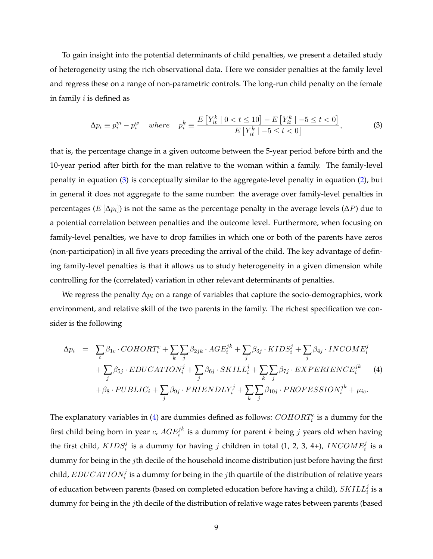To gain insight into the potential determinants of child penalties, we present a detailed study of heterogeneity using the rich observational data. Here we consider penalties at the family level and regress these on a range of non-parametric controls. The long-run child penalty on the female in family  $i$  is defined as

<span id="page-9-0"></span>
$$
\Delta p_i \equiv p_i^m - p_i^w \quad where \quad p_i^k \equiv \frac{E\left[Y_{it}^k \mid 0 < t \le 10\right] - E\left[Y_{it}^k \mid -5 \le t < 0\right]}{E\left[Y_{it}^k \mid -5 \le t < 0\right]},\tag{3}
$$

that is, the percentage change in a given outcome between the 5-year period before birth and the 10-year period after birth for the man relative to the woman within a family. The family-level penalty in equation [\(3\)](#page-9-0) is conceptually similar to the aggregate-level penalty in equation [\(2\)](#page-8-1), but in general it does not aggregate to the same number: the average over family-level penalties in percentages ( $E[\Delta p_i]$ ) is not the same as the percentage penalty in the average levels ( $\Delta P$ ) due to a potential correlation between penalties and the outcome level. Furthermore, when focusing on family-level penalties, we have to drop families in which one or both of the parents have zeros (non-participation) in all five years preceding the arrival of the child. The key advantage of defining family-level penalties is that it allows us to study heterogeneity in a given dimension while controlling for the (correlated) variation in other relevant determinants of penalties.

We regress the penalty  $\Delta p_i$  on a range of variables that capture the socio-demographics, work environment, and relative skill of the two parents in the family. The richest specification we consider is the following

<span id="page-9-1"></span>
$$
\Delta p_i = \sum_c \beta_{1c} \cdot COHORT_i^c + \sum_k \sum_j \beta_{2jk} \cdot AGE_i^{jk} + \sum_j \beta_{3j} \cdot KIDS_i^j + \sum_j \beta_{4j} \cdot INCOME_i^j
$$
  
+ 
$$
\sum_j \beta_{5j} \cdot EDUCATION_i^j + \sum_j \beta_{6j} \cdot SKILL_i^j + \sum_k \sum_j \beta_{7j} \cdot EXPERIENCE_i^{jk}
$$
 (4)  
+ 
$$
\beta_8 \cdot PUBLIC_i + \sum_j \beta_{9j} \cdot FRIENDLY_i^j + \sum_k \sum_j \beta_{10j} \cdot PROFESSION_i^{jk} + \mu_{ic}.
$$

The explanatory variables in [\(4\)](#page-9-1) are dummies defined as follows:  $\mathit{COHORT}_i^c$  is a dummy for the first child being born in year  $c$ ,  $AGE_i^{jk}$  is a dummy for parent  $k$  being  $j$  years old when having the first child,  $KIDS_i^j$  is a dummy for having  $j$  children in total (1, 2, 3, 4+),  $INCONE_i^j$  is a dummy for being in the jth decile of the household income distribution just before having the first child,  $EDUCATION_i^j$  is a dummy for being in the  $j$ th quartile of the distribution of relative years of education between parents (based on completed education before having a child),  $\mathit{SKILL}^j_i$  is a dummy for being in the jth decile of the distribution of relative wage rates between parents (based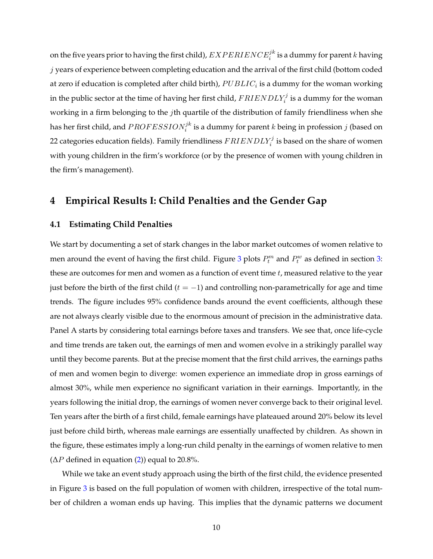on the five years prior to having the first child),  $EXPERIENCE^{jk}_i$  is a dummy for parent  $k$  having  $j$  years of experience between completing education and the arrival of the first child (bottom coded at zero if education is completed after child birth),  $PUBLIC_i$  is a dummy for the woman working in the public sector at the time of having her first child,  $FRIENDLY_i^j$  is a dummy for the woman working in a firm belonging to the *j*th quartile of the distribution of family friendliness when she has her first child, and  $PROFESSION_i^{jk}$  is a dummy for parent  $k$  being in profession  $j$  (based on 22 categories education fields). Family friendliness  $FRIENDLY_i^j$  is based on the share of women with young children in the firm's workforce (or by the presence of women with young children in the firm's management).

## <span id="page-10-0"></span>**4 Empirical Results I: Child Penalties and the Gender Gap**

#### **4.1 Estimating Child Penalties**

We start by documenting a set of stark changes in the labor market outcomes of women relative to men around the event of having the first child. Figure [3](#page-31-0) plots  $P_t^m$  and  $P_t^w$  as defined in section [3:](#page-7-0) these are outcomes for men and women as a function of event time  $t$ , measured relative to the year just before the birth of the first child ( $t = -1$ ) and controlling non-parametrically for age and time trends. The figure includes 95% confidence bands around the event coefficients, although these are not always clearly visible due to the enormous amount of precision in the administrative data. Panel A starts by considering total earnings before taxes and transfers. We see that, once life-cycle and time trends are taken out, the earnings of men and women evolve in a strikingly parallel way until they become parents. But at the precise moment that the first child arrives, the earnings paths of men and women begin to diverge: women experience an immediate drop in gross earnings of almost 30%, while men experience no significant variation in their earnings. Importantly, in the years following the initial drop, the earnings of women never converge back to their original level. Ten years after the birth of a first child, female earnings have plateaued around 20% below its level just before child birth, whereas male earnings are essentially unaffected by children. As shown in the figure, these estimates imply a long-run child penalty in the earnings of women relative to men  $(\Delta P \text{ defined in equation (2)})$  $(\Delta P \text{ defined in equation (2)})$  $(\Delta P \text{ defined in equation (2)})$  equal to 20.8%.

While we take an event study approach using the birth of the first child, the evidence presented in Figure [3](#page-31-0) is based on the full population of women with children, irrespective of the total number of children a woman ends up having. This implies that the dynamic patterns we document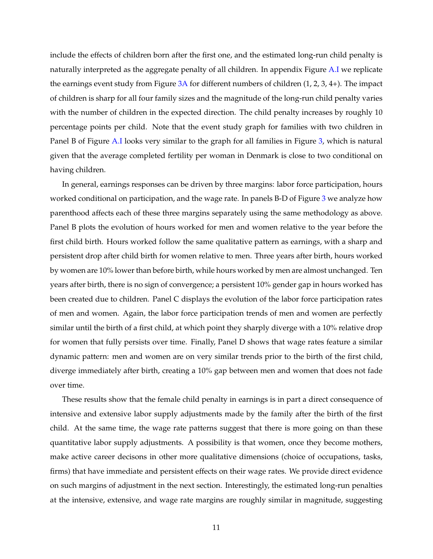include the effects of children born after the first one, and the estimated long-run child penalty is naturally interpreted as the aggregate penalty of all children. In appendix Figure [A.I](#page-29-0) we replicate the earnings event study from Figure [3A](#page-31-0) for different numbers of children (1, 2, 3, 4+). The impact of children is sharp for all four family sizes and the magnitude of the long-run child penalty varies with the number of children in the expected direction. The child penalty increases by roughly 10 percentage points per child. Note that the event study graph for families with two children in Panel B of Figure [A.I](#page-29-0) looks very similar to the graph for all families in Figure [3,](#page-31-0) which is natural given that the average completed fertility per woman in Denmark is close to two conditional on having children.

In general, earnings responses can be driven by three margins: labor force participation, hours worked conditional on participation, and the wage rate. In panels B-D of Figure [3](#page-31-0) we analyze how parenthood affects each of these three margins separately using the same methodology as above. Panel B plots the evolution of hours worked for men and women relative to the year before the first child birth. Hours worked follow the same qualitative pattern as earnings, with a sharp and persistent drop after child birth for women relative to men. Three years after birth, hours worked by women are 10% lower than before birth, while hours worked by men are almost unchanged. Ten years after birth, there is no sign of convergence; a persistent 10% gender gap in hours worked has been created due to children. Panel C displays the evolution of the labor force participation rates of men and women. Again, the labor force participation trends of men and women are perfectly similar until the birth of a first child, at which point they sharply diverge with a 10% relative drop for women that fully persists over time. Finally, Panel D shows that wage rates feature a similar dynamic pattern: men and women are on very similar trends prior to the birth of the first child, diverge immediately after birth, creating a 10% gap between men and women that does not fade over time.

These results show that the female child penalty in earnings is in part a direct consequence of intensive and extensive labor supply adjustments made by the family after the birth of the first child. At the same time, the wage rate patterns suggest that there is more going on than these quantitative labor supply adjustments. A possibility is that women, once they become mothers, make active career decisons in other more qualitative dimensions (choice of occupations, tasks, firms) that have immediate and persistent effects on their wage rates. We provide direct evidence on such margins of adjustment in the next section. Interestingly, the estimated long-run penalties at the intensive, extensive, and wage rate margins are roughly similar in magnitude, suggesting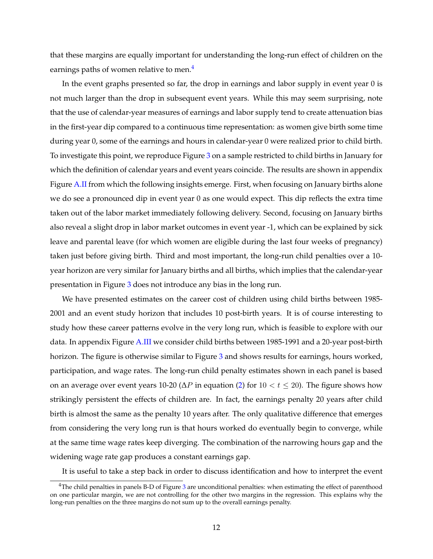that these margins are equally important for understanding the long-run effect of children on the earnings paths of women relative to men.<sup>[4](#page-12-0)</sup>

In the event graphs presented so far, the drop in earnings and labor supply in event year 0 is not much larger than the drop in subsequent event years. While this may seem surprising, note that the use of calendar-year measures of earnings and labor supply tend to create attenuation bias in the first-year dip compared to a continuous time representation: as women give birth some time during year 0, some of the earnings and hours in calendar-year 0 were realized prior to child birth. To investigate this point, we reproduce Figure [3](#page-31-0) on a sample restricted to child births in January for which the definition of calendar years and event years coincide. The results are shown in appendix Figure [A.II](#page-30-0) from which the following insights emerge. First, when focusing on January births alone we do see a pronounced dip in event year 0 as one would expect. This dip reflects the extra time taken out of the labor market immediately following delivery. Second, focusing on January births also reveal a slight drop in labor market outcomes in event year -1, which can be explained by sick leave and parental leave (for which women are eligible during the last four weeks of pregnancy) taken just before giving birth. Third and most important, the long-run child penalties over a 10 year horizon are very similar for January births and all births, which implies that the calendar-year presentation in Figure [3](#page-31-0) does not introduce any bias in the long run.

We have presented estimates on the career cost of children using child births between 1985- 2001 and an event study horizon that includes 10 post-birth years. It is of course interesting to study how these career patterns evolve in the very long run, which is feasible to explore with our data. In appendix Figure [A.III](#page-31-0) we consider child births between 1985-1991 and a 20-year post-birth horizon. The figure is otherwise similar to Figure [3](#page-31-0) and shows results for earnings, hours worked, participation, and wage rates. The long-run child penalty estimates shown in each panel is based on an average over event years 10-20 ( $\Delta P$  in equation [\(2\)](#page-8-1) for  $10 < t < 20$ ). The figure shows how strikingly persistent the effects of children are. In fact, the earnings penalty 20 years after child birth is almost the same as the penalty 10 years after. The only qualitative difference that emerges from considering the very long run is that hours worked do eventually begin to converge, while at the same time wage rates keep diverging. The combination of the narrowing hours gap and the widening wage rate gap produces a constant earnings gap.

It is useful to take a step back in order to discuss identification and how to interpret the event

<span id="page-12-0"></span> $4$ The child penalties in panels B-D of Figure [3](#page-31-0) are unconditional penalties: when estimating the effect of parenthood on one particular margin, we are not controlling for the other two margins in the regression. This explains why the long-run penalties on the three margins do not sum up to the overall earnings penalty.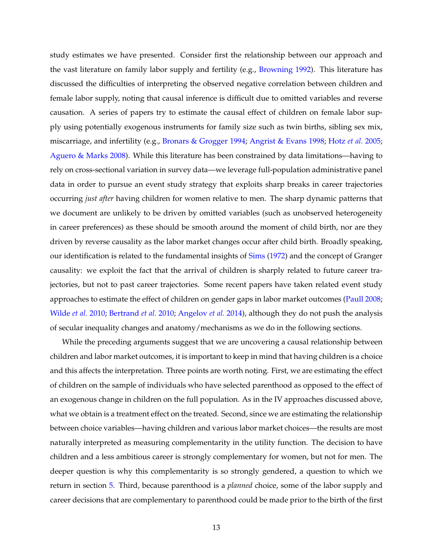study estimates we have presented. Consider first the relationship between our approach and the vast literature on family labor supply and fertility (e.g., [Browning](#page-27-7) [1992\)](#page-27-7). This literature has discussed the difficulties of interpreting the observed negative correlation between children and female labor supply, noting that causal inference is difficult due to omitted variables and reverse causation. A series of papers try to estimate the causal effect of children on female labor supply using potentially exogenous instruments for family size such as twin births, sibling sex mix, miscarriage, and infertility (e.g., [Bronars & Grogger](#page-27-8) [1994;](#page-27-8) [Angrist & Evans](#page-27-9) [1998;](#page-27-9) [Hotz](#page-28-8) *et al.* [2005;](#page-28-8) [Aguero & Marks](#page-27-10) [2008\)](#page-27-10). While this literature has been constrained by data limitations—having to rely on cross-sectional variation in survey data—we leverage full-population administrative panel data in order to pursue an event study strategy that exploits sharp breaks in career trajectories occurring *just after* having children for women relative to men. The sharp dynamic patterns that we document are unlikely to be driven by omitted variables (such as unobserved heterogeneity in career preferences) as these should be smooth around the moment of child birth, nor are they driven by reverse causality as the labor market changes occur after child birth. Broadly speaking, our identification is related to the fundamental insights of [Sims](#page-28-10) [\(1972\)](#page-28-10) and the concept of Granger causality: we exploit the fact that the arrival of children is sharply related to future career trajectories, but not to past career trajectories. Some recent papers have taken related event study approaches to estimate the effect of children on gender gaps in labor market outcomes [\(Paull](#page-28-7) [2008;](#page-28-7) [Wilde](#page-28-4) *et al.* [2010;](#page-28-4) [Bertrand](#page-27-1) *et al.* [2010;](#page-27-1) [Angelov](#page-27-6) *et al.* [2014\)](#page-27-6), although they do not push the analysis of secular inequality changes and anatomy/mechanisms as we do in the following sections.

While the preceding arguments suggest that we are uncovering a causal relationship between children and labor market outcomes, it is important to keep in mind that having children is a choice and this affects the interpretation. Three points are worth noting. First, we are estimating the effect of children on the sample of individuals who have selected parenthood as opposed to the effect of an exogenous change in children on the full population. As in the IV approaches discussed above, what we obtain is a treatment effect on the treated. Second, since we are estimating the relationship between choice variables—having children and various labor market choices—the results are most naturally interpreted as measuring complementarity in the utility function. The decision to have children and a less ambitious career is strongly complementary for women, but not for men. The deeper question is why this complementarity is so strongly gendered, a question to which we return in section [5.](#page-19-0) Third, because parenthood is a *planned* choice, some of the labor supply and career decisions that are complementary to parenthood could be made prior to the birth of the first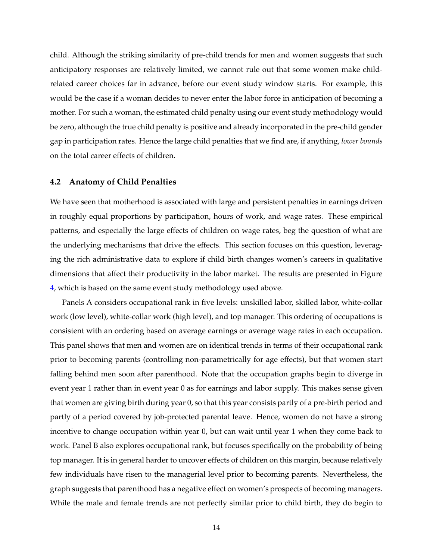child. Although the striking similarity of pre-child trends for men and women suggests that such anticipatory responses are relatively limited, we cannot rule out that some women make childrelated career choices far in advance, before our event study window starts. For example, this would be the case if a woman decides to never enter the labor force in anticipation of becoming a mother. For such a woman, the estimated child penalty using our event study methodology would be zero, although the true child penalty is positive and already incorporated in the pre-child gender gap in participation rates. Hence the large child penalties that we find are, if anything, *lower bounds* on the total career effects of children.

#### <span id="page-14-0"></span>**4.2 Anatomy of Child Penalties**

We have seen that motherhood is associated with large and persistent penalties in earnings driven in roughly equal proportions by participation, hours of work, and wage rates. These empirical patterns, and especially the large effects of children on wage rates, beg the question of what are the underlying mechanisms that drive the effects. This section focuses on this question, leveraging the rich administrative data to explore if child birth changes women's careers in qualitative dimensions that affect their productivity in the labor market. The results are presented in Figure [4,](#page-32-0) which is based on the same event study methodology used above.

Panels A considers occupational rank in five levels: unskilled labor, skilled labor, white-collar work (low level), white-collar work (high level), and top manager. This ordering of occupations is consistent with an ordering based on average earnings or average wage rates in each occupation. This panel shows that men and women are on identical trends in terms of their occupational rank prior to becoming parents (controlling non-parametrically for age effects), but that women start falling behind men soon after parenthood. Note that the occupation graphs begin to diverge in event year 1 rather than in event year 0 as for earnings and labor supply. This makes sense given that women are giving birth during year 0, so that this year consists partly of a pre-birth period and partly of a period covered by job-protected parental leave. Hence, women do not have a strong incentive to change occupation within year 0, but can wait until year 1 when they come back to work. Panel B also explores occupational rank, but focuses specifically on the probability of being top manager. It is in general harder to uncover effects of children on this margin, because relatively few individuals have risen to the managerial level prior to becoming parents. Nevertheless, the graph suggests that parenthood has a negative effect on women's prospects of becoming managers. While the male and female trends are not perfectly similar prior to child birth, they do begin to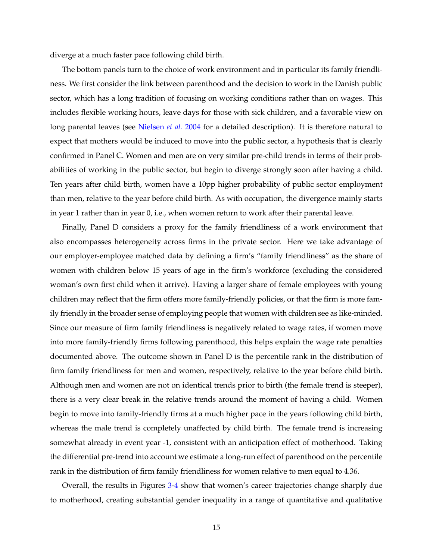diverge at a much faster pace following child birth.

The bottom panels turn to the choice of work environment and in particular its family friendliness. We first consider the link between parenthood and the decision to work in the Danish public sector, which has a long tradition of focusing on working conditions rather than on wages. This includes flexible working hours, leave days for those with sick children, and a favorable view on long parental leaves (see [Nielsen](#page-28-0) *et al.* [2004](#page-28-0) for a detailed description). It is therefore natural to expect that mothers would be induced to move into the public sector, a hypothesis that is clearly confirmed in Panel C. Women and men are on very similar pre-child trends in terms of their probabilities of working in the public sector, but begin to diverge strongly soon after having a child. Ten years after child birth, women have a 10pp higher probability of public sector employment than men, relative to the year before child birth. As with occupation, the divergence mainly starts in year 1 rather than in year 0, i.e., when women return to work after their parental leave.

Finally, Panel D considers a proxy for the family friendliness of a work environment that also encompasses heterogeneity across firms in the private sector. Here we take advantage of our employer-employee matched data by defining a firm's "family friendliness" as the share of women with children below 15 years of age in the firm's workforce (excluding the considered woman's own first child when it arrive). Having a larger share of female employees with young children may reflect that the firm offers more family-friendly policies, or that the firm is more family friendly in the broader sense of employing people that women with children see as like-minded. Since our measure of firm family friendliness is negatively related to wage rates, if women move into more family-friendly firms following parenthood, this helps explain the wage rate penalties documented above. The outcome shown in Panel D is the percentile rank in the distribution of firm family friendliness for men and women, respectively, relative to the year before child birth. Although men and women are not on identical trends prior to birth (the female trend is steeper), there is a very clear break in the relative trends around the moment of having a child. Women begin to move into family-friendly firms at a much higher pace in the years following child birth, whereas the male trend is completely unaffected by child birth. The female trend is increasing somewhat already in event year -1, consistent with an anticipation effect of motherhood. Taking the differential pre-trend into account we estimate a long-run effect of parenthood on the percentile rank in the distribution of firm family friendliness for women relative to men equal to 4.36.

Overall, the results in Figures [3](#page-31-0)[-4](#page-32-0) show that women's career trajectories change sharply due to motherhood, creating substantial gender inequality in a range of quantitative and qualitative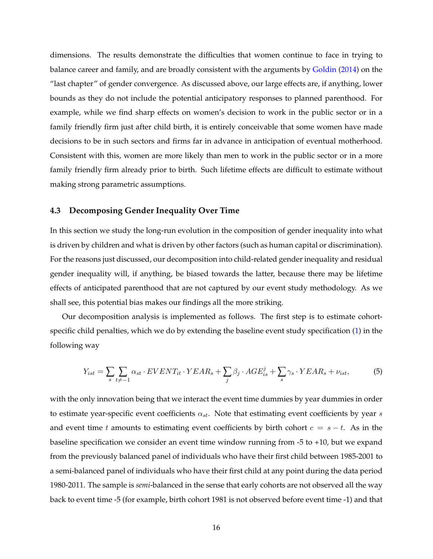dimensions. The results demonstrate the difficulties that women continue to face in trying to balance career and family, and are broadly consistent with the arguments by [Goldin](#page-28-1) [\(2014\)](#page-28-1) on the "last chapter" of gender convergence. As discussed above, our large effects are, if anything, lower bounds as they do not include the potential anticipatory responses to planned parenthood. For example, while we find sharp effects on women's decision to work in the public sector or in a family friendly firm just after child birth, it is entirely conceivable that some women have made decisions to be in such sectors and firms far in advance in anticipation of eventual motherhood. Consistent with this, women are more likely than men to work in the public sector or in a more family friendly firm already prior to birth. Such lifetime effects are difficult to estimate without making strong parametric assumptions.

#### <span id="page-16-1"></span>**4.3 Decomposing Gender Inequality Over Time**

In this section we study the long-run evolution in the composition of gender inequality into what is driven by children and what is driven by other factors (such as human capital or discrimination). For the reasons just discussed, our decomposition into child-related gender inequality and residual gender inequality will, if anything, be biased towards the latter, because there may be lifetime effects of anticipated parenthood that are not captured by our event study methodology. As we shall see, this potential bias makes our findings all the more striking.

Our decomposition analysis is implemented as follows. The first step is to estimate cohortspecific child penalties, which we do by extending the baseline event study specification [\(1\)](#page-8-0) in the following way

<span id="page-16-0"></span>
$$
Y_{ist} = \sum_{s} \sum_{t \neq -1} \alpha_{st} \cdot EVENT_{it} \cdot YEAR_{s} + \sum_{j} \beta_{j} \cdot AGE_{is}^{j} + \sum_{s} \gamma_{s} \cdot YEAR_{s} + \nu_{ist},\tag{5}
$$

with the only innovation being that we interact the event time dummies by year dummies in order to estimate year-specific event coefficients  $\alpha_{st}$ . Note that estimating event coefficients by year s and event time t amounts to estimating event coefficients by birth cohort  $c = s - t$ . As in the baseline specification we consider an event time window running from -5 to +10, but we expand from the previously balanced panel of individuals who have their first child between 1985-2001 to a semi-balanced panel of individuals who have their first child at any point during the data period 1980-2011. The sample is *semi*-balanced in the sense that early cohorts are not observed all the way back to event time -5 (for example, birth cohort 1981 is not observed before event time -1) and that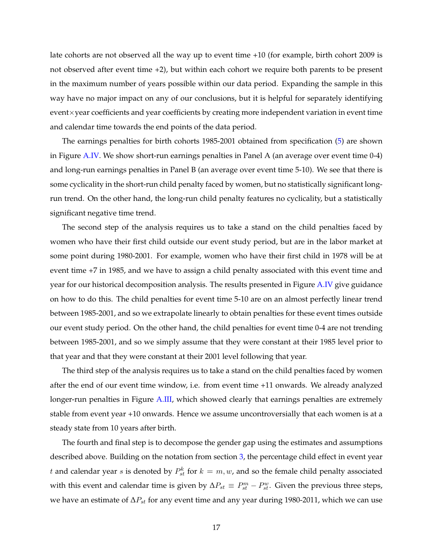late cohorts are not observed all the way up to event time +10 (for example, birth cohort 2009 is not observed after event time +2), but within each cohort we require both parents to be present in the maximum number of years possible within our data period. Expanding the sample in this way have no major impact on any of our conclusions, but it is helpful for separately identifying event×year coefficients and year coefficients by creating more independent variation in event time and calendar time towards the end points of the data period.

The earnings penalties for birth cohorts 1985-2001 obtained from specification [\(5\)](#page-16-0) are shown in Figure [A.IV.](#page-32-0) We show short-run earnings penalties in Panel A (an average over event time 0-4) and long-run earnings penalties in Panel B (an average over event time 5-10). We see that there is some cyclicality in the short-run child penalty faced by women, but no statistically significant longrun trend. On the other hand, the long-run child penalty features no cyclicality, but a statistically significant negative time trend.

The second step of the analysis requires us to take a stand on the child penalties faced by women who have their first child outside our event study period, but are in the labor market at some point during 1980-2001. For example, women who have their first child in 1978 will be at event time +7 in 1985, and we have to assign a child penalty associated with this event time and year for our historical decomposition analysis. The results presented in Figure [A.IV](#page-32-0) give guidance on how to do this. The child penalties for event time 5-10 are on an almost perfectly linear trend between 1985-2001, and so we extrapolate linearly to obtain penalties for these event times outside our event study period. On the other hand, the child penalties for event time 0-4 are not trending between 1985-2001, and so we simply assume that they were constant at their 1985 level prior to that year and that they were constant at their 2001 level following that year.

The third step of the analysis requires us to take a stand on the child penalties faced by women after the end of our event time window, i.e. from event time +11 onwards. We already analyzed longer-run penalties in Figure [A.III,](#page-31-0) which showed clearly that earnings penalties are extremely stable from event year +10 onwards. Hence we assume uncontroversially that each women is at a steady state from 10 years after birth.

The fourth and final step is to decompose the gender gap using the estimates and assumptions described above. Building on the notation from section [3,](#page-7-0) the percentage child effect in event year t and calendar year s is denoted by  $P_{st}^k$  for  $k = m, w$ , and so the female child penalty associated with this event and calendar time is given by  $\Delta P_{st} \equiv P_{st}^m - P_{st}^w$ . Given the previous three steps, we have an estimate of  $\Delta P_{st}$  for any event time and any year during 1980-2011, which we can use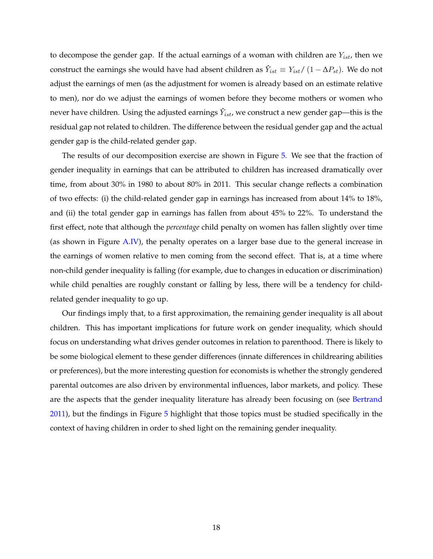to decompose the gender gap. If the actual earnings of a woman with children are  $Y_{ist}$ , then we construct the earnings she would have had absent children as  $\hat{Y}_{ist} \equiv Y_{ist}/\left(1-\Delta P_{st}\right)$ . We do not adjust the earnings of men (as the adjustment for women is already based on an estimate relative to men), nor do we adjust the earnings of women before they become mothers or women who never have children. Using the adjusted earnings  $\hat{Y}_{ist}$ , we construct a new gender gap—this is the residual gap not related to children. The difference between the residual gender gap and the actual gender gap is the child-related gender gap.

The results of our decomposition exercise are shown in Figure [5.](#page-33-0) We see that the fraction of gender inequality in earnings that can be attributed to children has increased dramatically over time, from about 30% in 1980 to about 80% in 2011. This secular change reflects a combination of two effects: (i) the child-related gender gap in earnings has increased from about 14% to 18%, and (ii) the total gender gap in earnings has fallen from about 45% to 22%. To understand the first effect, note that although the *percentage* child penalty on women has fallen slightly over time (as shown in Figure [A.IV\)](#page-32-0), the penalty operates on a larger base due to the general increase in the earnings of women relative to men coming from the second effect. That is, at a time where non-child gender inequality is falling (for example, due to changes in education or discrimination) while child penalties are roughly constant or falling by less, there will be a tendency for childrelated gender inequality to go up.

Our findings imply that, to a first approximation, the remaining gender inequality is all about children. This has important implications for future work on gender inequality, which should focus on understanding what drives gender outcomes in relation to parenthood. There is likely to be some biological element to these gender differences (innate differences in childrearing abilities or preferences), but the more interesting question for economists is whether the strongly gendered parental outcomes are also driven by environmental influences, labor markets, and policy. These are the aspects that the gender inequality literature has already been focusing on (see [Bertrand](#page-27-2) [2011\)](#page-27-2), but the findings in Figure [5](#page-33-0) highlight that those topics must be studied specifically in the context of having children in order to shed light on the remaining gender inequality.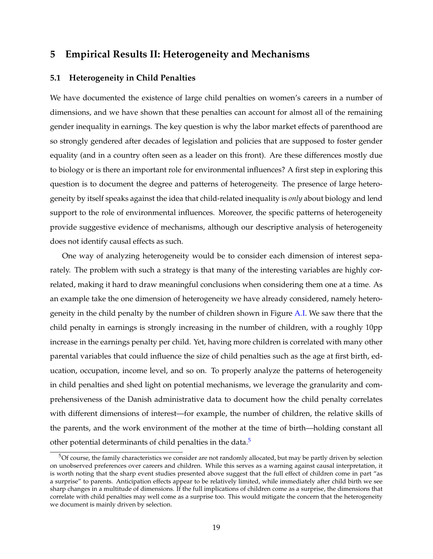#### <span id="page-19-0"></span>**5 Empirical Results II: Heterogeneity and Mechanisms**

#### <span id="page-19-2"></span>**5.1 Heterogeneity in Child Penalties**

We have documented the existence of large child penalties on women's careers in a number of dimensions, and we have shown that these penalties can account for almost all of the remaining gender inequality in earnings. The key question is why the labor market effects of parenthood are so strongly gendered after decades of legislation and policies that are supposed to foster gender equality (and in a country often seen as a leader on this front). Are these differences mostly due to biology or is there an important role for environmental influences? A first step in exploring this question is to document the degree and patterns of heterogeneity. The presence of large heterogeneity by itself speaks against the idea that child-related inequality is *only* about biology and lend support to the role of environmental influences. Moreover, the specific patterns of heterogeneity provide suggestive evidence of mechanisms, although our descriptive analysis of heterogeneity does not identify causal effects as such.

One way of analyzing heterogeneity would be to consider each dimension of interest separately. The problem with such a strategy is that many of the interesting variables are highly correlated, making it hard to draw meaningful conclusions when considering them one at a time. As an example take the one dimension of heterogeneity we have already considered, namely heterogeneity in the child penalty by the number of children shown in Figure [A.I.](#page-29-0) We saw there that the child penalty in earnings is strongly increasing in the number of children, with a roughly 10pp increase in the earnings penalty per child. Yet, having more children is correlated with many other parental variables that could influence the size of child penalties such as the age at first birth, education, occupation, income level, and so on. To properly analyze the patterns of heterogeneity in child penalties and shed light on potential mechanisms, we leverage the granularity and comprehensiveness of the Danish administrative data to document how the child penalty correlates with different dimensions of interest—for example, the number of children, the relative skills of the parents, and the work environment of the mother at the time of birth—holding constant all other potential determinants of child penalties in the data.<sup>[5](#page-19-1)</sup>

<span id="page-19-1"></span> $5$ Of course, the family characteristics we consider are not randomly allocated, but may be partly driven by selection on unobserved preferences over careers and children. While this serves as a warning against causal interpretation, it is worth noting that the sharp event studies presented above suggest that the full effect of children come in part "as a surprise" to parents. Anticipation effects appear to be relatively limited, while immediately after child birth we see sharp changes in a multitude of dimensions. If the full implications of children come as a surprise, the dimensions that correlate with child penalties may well come as a surprise too. This would mitigate the concern that the heterogeneity we document is mainly driven by selection.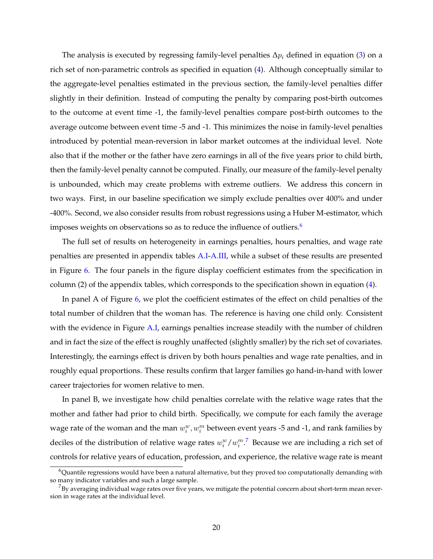The analysis is executed by regressing family-level penalties  $\Delta p_i$  defined in equation [\(3\)](#page-9-0) on a rich set of non-parametric controls as specified in equation [\(4\)](#page-9-1). Although conceptually similar to the aggregate-level penalties estimated in the previous section, the family-level penalties differ slightly in their definition. Instead of computing the penalty by comparing post-birth outcomes to the outcome at event time -1, the family-level penalties compare post-birth outcomes to the average outcome between event time -5 and -1. This minimizes the noise in family-level penalties introduced by potential mean-reversion in labor market outcomes at the individual level. Note also that if the mother or the father have zero earnings in all of the five years prior to child birth, then the family-level penalty cannot be computed. Finally, our measure of the family-level penalty is unbounded, which may create problems with extreme outliers. We address this concern in two ways. First, in our baseline specification we simply exclude penalties over 400% and under -400%. Second, we also consider results from robust regressions using a Huber M-estimator, which imposes weights on observations so as to reduce the influence of outliers.<sup>[6](#page-20-0)</sup>

The full set of results on heterogeneity in earnings penalties, hours penalties, and wage rate penalties are presented in appendix tables [A.I](#page-42-0)[-A.III,](#page-44-0) while a subset of these results are presented in Figure [6.](#page-34-0) The four panels in the figure display coefficient estimates from the specification in column (2) of the appendix tables, which corresponds to the specification shown in equation [\(4\)](#page-9-1).

In panel A of Figure [6,](#page-34-0) we plot the coefficient estimates of the effect on child penalties of the total number of children that the woman has. The reference is having one child only. Consistent with the evidence in Figure [A.I,](#page-29-0) earnings penalties increase steadily with the number of children and in fact the size of the effect is roughly unaffected (slightly smaller) by the rich set of covariates. Interestingly, the earnings effect is driven by both hours penalties and wage rate penalties, and in roughly equal proportions. These results confirm that larger families go hand-in-hand with lower career trajectories for women relative to men.

In panel B, we investigate how child penalties correlate with the relative wage rates that the mother and father had prior to child birth. Specifically, we compute for each family the average wage rate of the woman and the man  $w_i^w, w_i^m$  between event years -5 and -1, and rank families by deciles of the distribution of relative wage rates  $w_i^w/w_i^{m}$ .<sup>[7](#page-20-1)</sup> Because we are including a rich set of controls for relative years of education, profession, and experience, the relative wage rate is meant

<span id="page-20-0"></span> $^6$ Quantile regressions would have been a natural alternative, but they proved too computationally demanding with so many indicator variables and such a large sample.

<span id="page-20-1"></span> $^{7}$ By averaging individual wage rates over five years, we mitigate the potential concern about short-term mean reversion in wage rates at the individual level.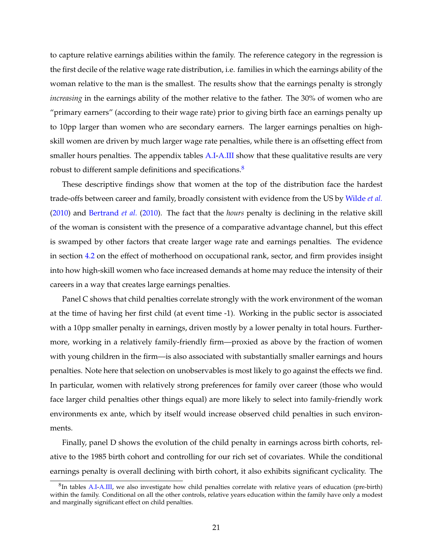to capture relative earnings abilities within the family. The reference category in the regression is the first decile of the relative wage rate distribution, i.e. families in which the earnings ability of the woman relative to the man is the smallest. The results show that the earnings penalty is strongly *increasing* in the earnings ability of the mother relative to the father. The 30% of women who are "primary earners" (according to their wage rate) prior to giving birth face an earnings penalty up to 10pp larger than women who are secondary earners. The larger earnings penalties on highskill women are driven by much larger wage rate penalties, while there is an offsetting effect from smaller hours penalties. The appendix tables [A.I](#page-42-0)[-A.III](#page-44-0) show that these qualitative results are very robust to different sample definitions and specifications.<sup>[8](#page-21-0)</sup>

These descriptive findings show that women at the top of the distribution face the hardest trade-offs between career and family, broadly consistent with evidence from the US by [Wilde](#page-28-4) *et al.* [\(2010\)](#page-28-4) and [Bertrand](#page-27-1) *et al.* [\(2010\)](#page-27-1). The fact that the *hours* penalty is declining in the relative skill of the woman is consistent with the presence of a comparative advantage channel, but this effect is swamped by other factors that create larger wage rate and earnings penalties. The evidence in section [4.2](#page-14-0) on the effect of motherhood on occupational rank, sector, and firm provides insight into how high-skill women who face increased demands at home may reduce the intensity of their careers in a way that creates large earnings penalties.

Panel C shows that child penalties correlate strongly with the work environment of the woman at the time of having her first child (at event time -1). Working in the public sector is associated with a 10pp smaller penalty in earnings, driven mostly by a lower penalty in total hours. Furthermore, working in a relatively family-friendly firm—proxied as above by the fraction of women with young children in the firm—is also associated with substantially smaller earnings and hours penalties. Note here that selection on unobservables is most likely to go against the effects we find. In particular, women with relatively strong preferences for family over career (those who would face larger child penalties other things equal) are more likely to select into family-friendly work environments ex ante, which by itself would increase observed child penalties in such environments.

Finally, panel D shows the evolution of the child penalty in earnings across birth cohorts, relative to the 1985 birth cohort and controlling for our rich set of covariates. While the conditional earnings penalty is overall declining with birth cohort, it also exhibits significant cyclicality. The

<span id="page-21-0"></span> ${}^{8}$ In tables [A.I](#page-42-0)[-A.III,](#page-44-0) we also investigate how child penalties correlate with relative years of education (pre-birth) within the family. Conditional on all the other controls, relative years education within the family have only a modest and marginally significant effect on child penalties.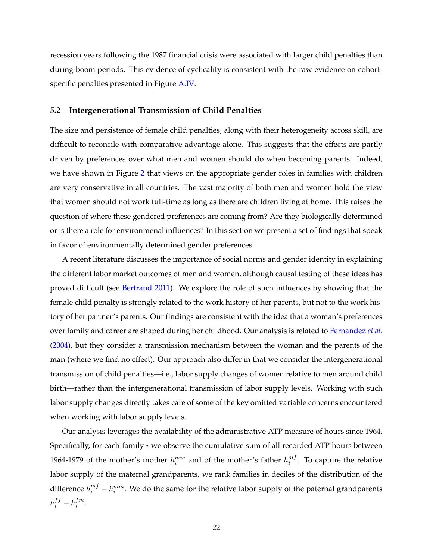recession years following the 1987 financial crisis were associated with larger child penalties than during boom periods. This evidence of cyclicality is consistent with the raw evidence on cohortspecific penalties presented in Figure [A.IV.](#page-32-0)

#### **5.2 Intergenerational Transmission of Child Penalties**

The size and persistence of female child penalties, along with their heterogeneity across skill, are difficult to reconcile with comparative advantage alone. This suggests that the effects are partly driven by preferences over what men and women should do when becoming parents. Indeed, we have shown in Figure [2](#page-30-0) that views on the appropriate gender roles in families with children are very conservative in all countries. The vast majority of both men and women hold the view that women should not work full-time as long as there are children living at home. This raises the question of where these gendered preferences are coming from? Are they biologically determined or is there a role for environmenal influences? In this section we present a set of findings that speak in favor of environmentally determined gender preferences.

A recent literature discusses the importance of social norms and gender identity in explaining the different labor market outcomes of men and women, although causal testing of these ideas has proved difficult (see [Bertrand](#page-27-2) [2011\)](#page-27-2). We explore the role of such influences by showing that the female child penalty is strongly related to the work history of her parents, but not to the work history of her partner's parents. Our findings are consistent with the idea that a woman's preferences over family and career are shaped during her childhood. Our analysis is related to [Fernandez](#page-27-4) *et al.* [\(2004\)](#page-27-4), but they consider a transmission mechanism between the woman and the parents of the man (where we find no effect). Our approach also differ in that we consider the intergenerational transmission of child penalties—i.e., labor supply changes of women relative to men around child birth—rather than the intergenerational transmission of labor supply levels. Working with such labor supply changes directly takes care of some of the key omitted variable concerns encountered when working with labor supply levels.

Our analysis leverages the availability of the administrative ATP measure of hours since 1964. Specifically, for each family  $i$  we observe the cumulative sum of all recorded ATP hours between 1964-1979 of the mother's mother  $h_i^{mm}$  and of the mother's father  $h_i^{mf}$  $i^{m_j}$ . To capture the relative labor supply of the maternal grandparents, we rank families in deciles of the distribution of the difference  $h_i^{mf} - h_i^{mm}$ . We do the same for the relative labor supply of the paternal grandparents  $h_i^{ff} - h_i^{fm}$  $\frac{j}{i}$ .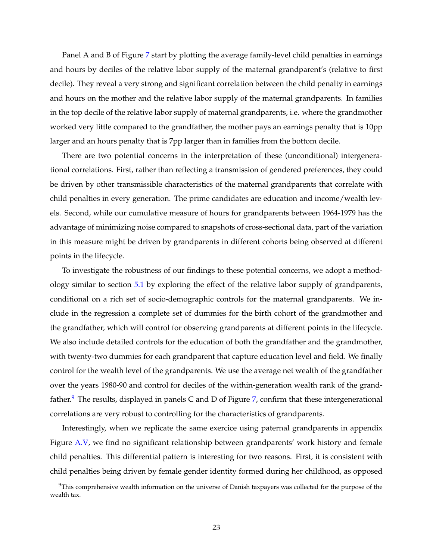Panel A and B of Figure [7](#page-35-0) start by plotting the average family-level child penalties in earnings and hours by deciles of the relative labor supply of the maternal grandparent's (relative to first decile). They reveal a very strong and significant correlation between the child penalty in earnings and hours on the mother and the relative labor supply of the maternal grandparents. In families in the top decile of the relative labor supply of maternal grandparents, i.e. where the grandmother worked very little compared to the grandfather, the mother pays an earnings penalty that is 10pp larger and an hours penalty that is 7pp larger than in families from the bottom decile.

There are two potential concerns in the interpretation of these (unconditional) intergenerational correlations. First, rather than reflecting a transmission of gendered preferences, they could be driven by other transmissible characteristics of the maternal grandparents that correlate with child penalties in every generation. The prime candidates are education and income/wealth levels. Second, while our cumulative measure of hours for grandparents between 1964-1979 has the advantage of minimizing noise compared to snapshots of cross-sectional data, part of the variation in this measure might be driven by grandparents in different cohorts being observed at different points in the lifecycle.

To investigate the robustness of our findings to these potential concerns, we adopt a methodology similar to section [5.1](#page-19-2) by exploring the effect of the relative labor supply of grandparents, conditional on a rich set of socio-demographic controls for the maternal grandparents. We include in the regression a complete set of dummies for the birth cohort of the grandmother and the grandfather, which will control for observing grandparents at different points in the lifecycle. We also include detailed controls for the education of both the grandfather and the grandmother, with twenty-two dummies for each grandparent that capture education level and field. We finally control for the wealth level of the grandparents. We use the average net wealth of the grandfather over the years 1980-90 and control for deciles of the within-generation wealth rank of the grand-father.<sup>[9](#page-23-0)</sup> The results, displayed in panels C and D of Figure [7,](#page-35-0) confirm that these intergenerational correlations are very robust to controlling for the characteristics of grandparents.

Interestingly, when we replicate the same exercice using paternal grandparents in appendix Figure [A.V,](#page-33-0) we find no significant relationship between grandparents' work history and female child penalties. This differential pattern is interesting for two reasons. First, it is consistent with child penalties being driven by female gender identity formed during her childhood, as opposed

<span id="page-23-0"></span> $9$ This comprehensive wealth information on the universe of Danish taxpayers was collected for the purpose of the wealth tax.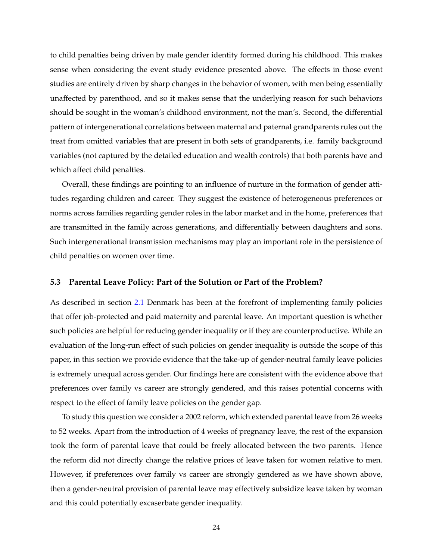to child penalties being driven by male gender identity formed during his childhood. This makes sense when considering the event study evidence presented above. The effects in those event studies are entirely driven by sharp changes in the behavior of women, with men being essentially unaffected by parenthood, and so it makes sense that the underlying reason for such behaviors should be sought in the woman's childhood environment, not the man's. Second, the differential pattern of intergenerational correlations between maternal and paternal grandparents rules out the treat from omitted variables that are present in both sets of grandparents, i.e. family background variables (not captured by the detailed education and wealth controls) that both parents have and which affect child penalties.

Overall, these findings are pointing to an influence of nurture in the formation of gender attitudes regarding children and career. They suggest the existence of heterogeneous preferences or norms across families regarding gender roles in the labor market and in the home, preferences that are transmitted in the family across generations, and differentially between daughters and sons. Such intergenerational transmission mechanisms may play an important role in the persistence of child penalties on women over time.

#### **5.3 Parental Leave Policy: Part of the Solution or Part of the Problem?**

As described in section [2.1](#page-4-1) Denmark has been at the forefront of implementing family policies that offer job-protected and paid maternity and parental leave. An important question is whether such policies are helpful for reducing gender inequality or if they are counterproductive. While an evaluation of the long-run effect of such policies on gender inequality is outside the scope of this paper, in this section we provide evidence that the take-up of gender-neutral family leave policies is extremely unequal across gender. Our findings here are consistent with the evidence above that preferences over family vs career are strongly gendered, and this raises potential concerns with respect to the effect of family leave policies on the gender gap.

To study this question we consider a 2002 reform, which extended parental leave from 26 weeks to 52 weeks. Apart from the introduction of 4 weeks of pregnancy leave, the rest of the expansion took the form of parental leave that could be freely allocated between the two parents. Hence the reform did not directly change the relative prices of leave taken for women relative to men. However, if preferences over family vs career are strongly gendered as we have shown above, then a gender-neutral provision of parental leave may effectively subsidize leave taken by woman and this could potentially excaserbate gender inequality.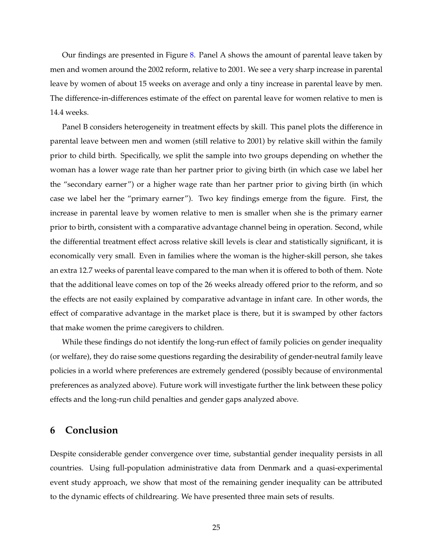Our findings are presented in Figure [8.](#page-36-0) Panel A shows the amount of parental leave taken by men and women around the 2002 reform, relative to 2001. We see a very sharp increase in parental leave by women of about 15 weeks on average and only a tiny increase in parental leave by men. The difference-in-differences estimate of the effect on parental leave for women relative to men is 14.4 weeks.

Panel B considers heterogeneity in treatment effects by skill. This panel plots the difference in parental leave between men and women (still relative to 2001) by relative skill within the family prior to child birth. Specifically, we split the sample into two groups depending on whether the woman has a lower wage rate than her partner prior to giving birth (in which case we label her the "secondary earner") or a higher wage rate than her partner prior to giving birth (in which case we label her the "primary earner"). Two key findings emerge from the figure. First, the increase in parental leave by women relative to men is smaller when she is the primary earner prior to birth, consistent with a comparative advantage channel being in operation. Second, while the differential treatment effect across relative skill levels is clear and statistically significant, it is economically very small. Even in families where the woman is the higher-skill person, she takes an extra 12.7 weeks of parental leave compared to the man when it is offered to both of them. Note that the additional leave comes on top of the 26 weeks already offered prior to the reform, and so the effects are not easily explained by comparative advantage in infant care. In other words, the effect of comparative advantage in the market place is there, but it is swamped by other factors that make women the prime caregivers to children.

While these findings do not identify the long-run effect of family policies on gender inequality (or welfare), they do raise some questions regarding the desirability of gender-neutral family leave policies in a world where preferences are extremely gendered (possibly because of environmental preferences as analyzed above). Future work will investigate further the link between these policy effects and the long-run child penalties and gender gaps analyzed above.

## <span id="page-25-0"></span>**6 Conclusion**

Despite considerable gender convergence over time, substantial gender inequality persists in all countries. Using full-population administrative data from Denmark and a quasi-experimental event study approach, we show that most of the remaining gender inequality can be attributed to the dynamic effects of childrearing. We have presented three main sets of results.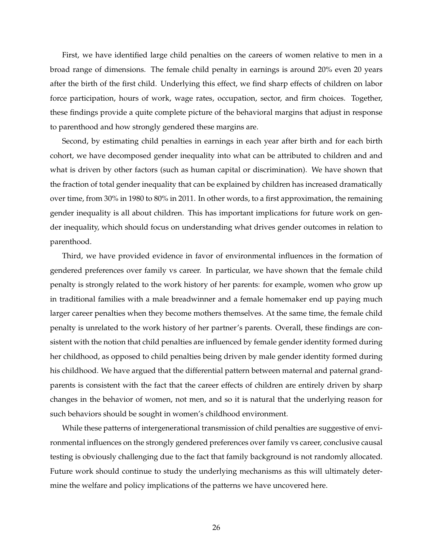First, we have identified large child penalties on the careers of women relative to men in a broad range of dimensions. The female child penalty in earnings is around 20% even 20 years after the birth of the first child. Underlying this effect, we find sharp effects of children on labor force participation, hours of work, wage rates, occupation, sector, and firm choices. Together, these findings provide a quite complete picture of the behavioral margins that adjust in response to parenthood and how strongly gendered these margins are.

Second, by estimating child penalties in earnings in each year after birth and for each birth cohort, we have decomposed gender inequality into what can be attributed to children and and what is driven by other factors (such as human capital or discrimination). We have shown that the fraction of total gender inequality that can be explained by children has increased dramatically over time, from 30% in 1980 to 80% in 2011. In other words, to a first approximation, the remaining gender inequality is all about children. This has important implications for future work on gender inequality, which should focus on understanding what drives gender outcomes in relation to parenthood.

Third, we have provided evidence in favor of environmental influences in the formation of gendered preferences over family vs career. In particular, we have shown that the female child penalty is strongly related to the work history of her parents: for example, women who grow up in traditional families with a male breadwinner and a female homemaker end up paying much larger career penalties when they become mothers themselves. At the same time, the female child penalty is unrelated to the work history of her partner's parents. Overall, these findings are consistent with the notion that child penalties are influenced by female gender identity formed during her childhood, as opposed to child penalties being driven by male gender identity formed during his childhood. We have argued that the differential pattern between maternal and paternal grandparents is consistent with the fact that the career effects of children are entirely driven by sharp changes in the behavior of women, not men, and so it is natural that the underlying reason for such behaviors should be sought in women's childhood environment.

While these patterns of intergenerational transmission of child penalties are suggestive of environmental influences on the strongly gendered preferences over family vs career, conclusive causal testing is obviously challenging due to the fact that family background is not randomly allocated. Future work should continue to study the underlying mechanisms as this will ultimately determine the welfare and policy implications of the patterns we have uncovered here.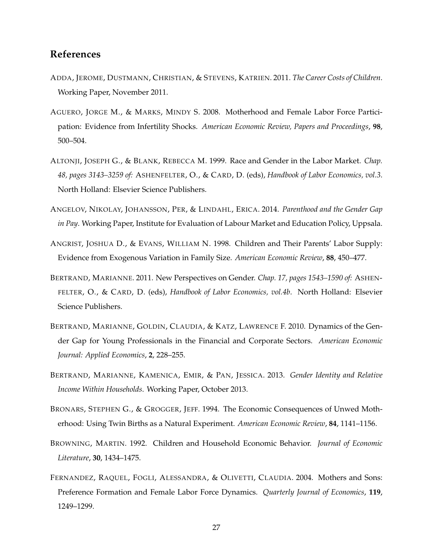#### **References**

- <span id="page-27-5"></span>ADDA, JEROME, DUSTMANN, CHRISTIAN, & STEVENS, KATRIEN. 2011. *The Career Costs of Children*. Working Paper, November 2011.
- <span id="page-27-10"></span>AGUERO, JORGE M., & MARKS, MINDY S. 2008. Motherhood and Female Labor Force Participation: Evidence from Infertility Shocks. *American Economic Review, Papers and Proceedings*, **98**, 500–504.
- <span id="page-27-0"></span>ALTONJI, JOSEPH G., & BLANK, REBECCA M. 1999. Race and Gender in the Labor Market. *Chap. 48, pages 3143–3259 of:* ASHENFELTER, O., & CARD, D. (eds), *Handbook of Labor Economics, vol.3*. North Holland: Elsevier Science Publishers.
- <span id="page-27-6"></span>ANGELOV, NIKOLAY, JOHANSSON, PER, & LINDAHL, ERICA. 2014. *Parenthood and the Gender Gap in Pay*. Working Paper, Institute for Evaluation of Labour Market and Education Policy, Uppsala.
- <span id="page-27-9"></span>ANGRIST, JOSHUA D., & EVANS, WILLIAM N. 1998. Children and Their Parents' Labor Supply: Evidence from Exogenous Variation in Family Size. *American Economic Review*, **88**, 450–477.
- <span id="page-27-2"></span>BERTRAND, MARIANNE. 2011. New Perspectives on Gender. *Chap. 17, pages 1543–1590 of:* ASHEN-FELTER, O., & CARD, D. (eds), *Handbook of Labor Economics, vol.4b*. North Holland: Elsevier Science Publishers.
- <span id="page-27-1"></span>BERTRAND, MARIANNE, GOLDIN, CLAUDIA, & KATZ, LAWRENCE F. 2010. Dynamics of the Gender Gap for Young Professionals in the Financial and Corporate Sectors. *American Economic Journal: Applied Economics*, **2**, 228–255.
- <span id="page-27-3"></span>BERTRAND, MARIANNE, KAMENICA, EMIR, & PAN, JESSICA. 2013. *Gender Identity and Relative Income Within Households*. Working Paper, October 2013.
- <span id="page-27-8"></span>BRONARS, STEPHEN G., & GROGGER, JEFF. 1994. The Economic Consequences of Unwed Motherhood: Using Twin Births as a Natural Experiment. *American Economic Review*, **84**, 1141–1156.
- <span id="page-27-7"></span>BROWNING, MARTIN. 1992. Children and Household Economic Behavior. *Journal of Economic Literature*, **30**, 1434–1475.
- <span id="page-27-4"></span>FERNANDEZ, RAQUEL, FOGLI, ALESSANDRA, & OLIVETTI, CLAUDIA. 2004. Mothers and Sons: Preference Formation and Female Labor Force Dynamics. *Quarterly Journal of Economics*, **119**, 1249–1299.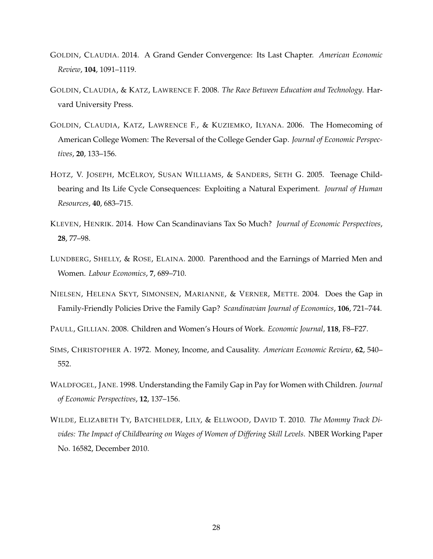- <span id="page-28-1"></span>GOLDIN, CLAUDIA. 2014. A Grand Gender Convergence: Its Last Chapter. *American Economic Review*, **104**, 1091–1119.
- <span id="page-28-3"></span>GOLDIN, CLAUDIA, & KATZ, LAWRENCE F. 2008. *The Race Between Education and Technology*. Harvard University Press.
- <span id="page-28-2"></span>GOLDIN, CLAUDIA, KATZ, LAWRENCE F., & KUZIEMKO, ILYANA. 2006. The Homecoming of American College Women: The Reversal of the College Gender Gap. *Journal of Economic Perspectives*, **20**, 133–156.
- <span id="page-28-8"></span>HOTZ, V. JOSEPH, MCELROY, SUSAN WILLIAMS, & SANDERS, SETH G. 2005. Teenage Childbearing and Its Life Cycle Consequences: Exploiting a Natural Experiment. *Journal of Human Resources*, **40**, 683–715.
- <span id="page-28-9"></span>KLEVEN, HENRIK. 2014. How Can Scandinavians Tax So Much? *Journal of Economic Perspectives*, **28**, 77–98.
- <span id="page-28-6"></span>LUNDBERG, SHELLY, & ROSE, ELAINA. 2000. Parenthood and the Earnings of Married Men and Women. *Labour Economics*, **7**, 689–710.
- <span id="page-28-0"></span>NIELSEN, HELENA SKYT, SIMONSEN, MARIANNE, & VERNER, METTE. 2004. Does the Gap in Family-Friendly Policies Drive the Family Gap? *Scandinavian Journal of Economics*, **106**, 721–744.

<span id="page-28-7"></span>PAULL, GILLIAN. 2008. Children and Women's Hours of Work. *Economic Journal*, **118**, F8–F27.

- <span id="page-28-10"></span>SIMS, CHRISTOPHER A. 1972. Money, Income, and Causality. *American Economic Review*, **62**, 540– 552.
- <span id="page-28-5"></span>WALDFOGEL, JANE. 1998. Understanding the Family Gap in Pay for Women with Children. *Journal of Economic Perspectives*, **12**, 137–156.
- <span id="page-28-4"></span>WILDE, ELIZABETH TY, BATCHELDER, LILY, & ELLWOOD, DAVID T. 2010. *The Mommy Track Divides: The Impact of Childbearing on Wages of Women of Differing Skill Levels*. NBER Working Paper No. 16582, December 2010.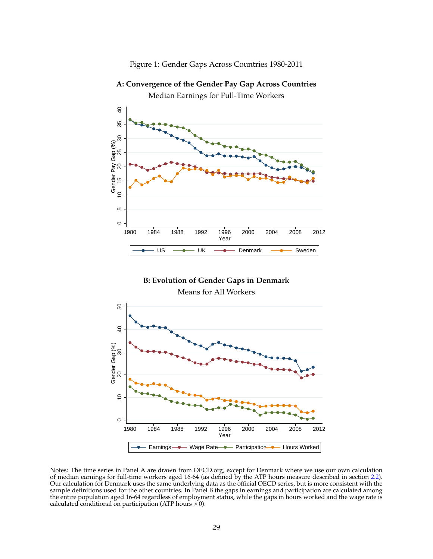<span id="page-29-0"></span>Figure 1: Gender Gaps Across Countries 1980-2011

 $\circ$ 5 $\begin{picture}(180,10) \put(0,0){\line(1,0){15}} \put(10,0){\line(1,0){15}} \put(10,0){\line(1,0){15}} \put(10,0){\line(1,0){15}} \put(10,0){\line(1,0){15}} \put(10,0){\line(1,0){15}} \put(10,0){\line(1,0){15}} \put(10,0){\line(1,0){15}} \put(10,0){\line(1,0){15}} \put(10,0){\line(1,0){15}} \put(10,0){\line(1,0){15}} \put(10,0){\line($ 1980 1984 1988 1992 1996 2000 2004 2008 2012 **Year** *Property* US —<del>● UK —● Denmark —● Sweden</del> |

**A: Convergence of the Gender Pay Gap Across Countries** Median Earnings for Full-Time Workers

**B: Evolution of Gender Gaps in Denmark** Means for All Workers

 $\circ$  <sup>10</sup> <sup>20</sup> <sup>30</sup> <sup>40</sup> <sup>50</sup> Gender Gap (%) 1980 1984 1988 1992 1996 2000 2004 2008 2012 **Year** and the contract of the contract of the contract of the contract of the contract of the contract of the contract of the contract of the contract of the contract of the contract of the contract of the contract of the Earnings-**•** Wage Rate • Participation • Hours Worked

Notes: The time series in Panel A are drawn from OECD.org, except for Denmark where we use our own calculation of median earnings for full-time workers aged 16-64 (as defined by the ATP hours measure described in section [2.2\)](#page-6-0). Our calculation for Denmark uses the same underlying data as the official OECD series, but is more consistent with the sample definitions used for the other countries. In Panel B the gaps in earnings and participation are calculated among the entire population aged 16-64 regardless of employment status, while the gaps in hours worked and the wage rate is calculated conditional on participation (ATP hours  $> 0$ ).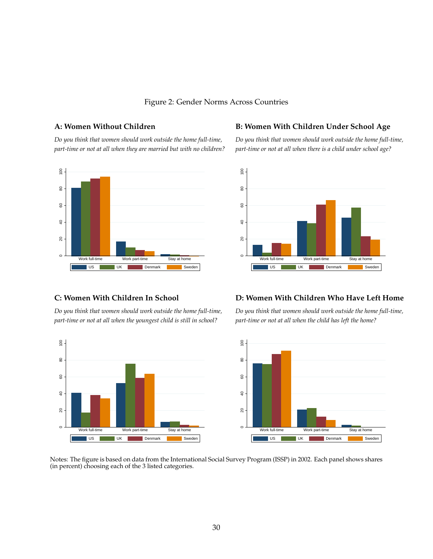#### <span id="page-30-0"></span>Figure 2: Gender Norms Across Countries

*part-time or not at all when they are married but with no children? part-time or not at all when there is a child under school age?*



#### A: Women Without Children **B: Women With Children Under School Age**

*Do you think that women should work outside the home full-time, Do you think that women should work outside the home full-time,*



*part-time or not at all when the youngest child is still in school? part-time or not at all when the child has left the home?*

# $\circ$ E

#### **C: Women With Children In School D: Women With Children Who Have Left Home**

*Do you think that women should work outside the home full-time, Do you think that women should work outside the home full-time,*



Notes: The figure is based on data from the International Social Survey Program (ISSP) in 2002. Each panel shows shares (in percent) choosing each of the 3 listed categories.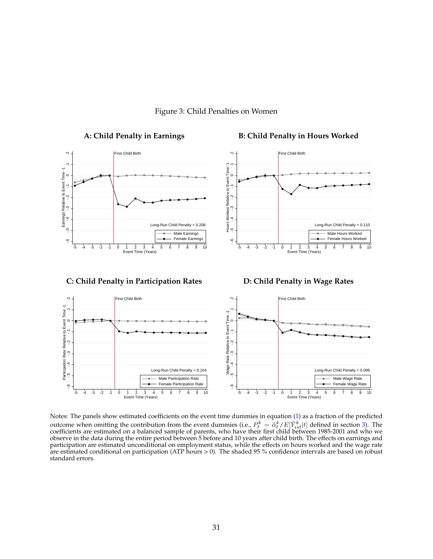

#### <span id="page-31-0"></span>Figure 3: Child Penalties on Women

Notes: The panels show estimated coefficients on the event time dummies in equation [\(1\)](#page-8-0) as a fraction of the predicted outcome when omitting the contribution from the event dummies (i.e.,  $P_t^k = \hat{\alpha}_t^k / E[Y_{ist}^k|t]$  defined in section [3\)](#page-7-0). The coefficients are estimated on a balanced sample of parents, who have their first child between 1985-2001 and who we observe in the data during the entire period between 5 before and 10 years after child birth. The effects on earnings and participation are estimated unconditional on employment status, while the effects on hours worked and the wage rate are estimated conditional on participation (ATP hours > 0). The shaded 95 % confidence intervals are based on robust standard errors.

-5 -4 -3 -2 -1 0 1 2 3 4 5 6 7 8 9 10

Event Time (Years) Event Time (Years)

-5 -4 -3 -2 -1 0 1 2 3 4 5 6 7 8 9 10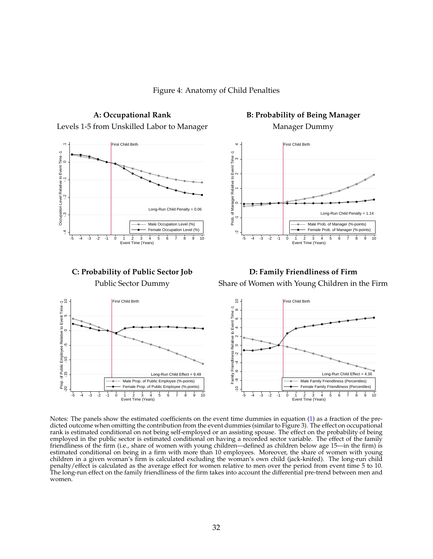<span id="page-32-0"></span>Figure 4: Anatomy of Child Penalties



Notes: The panels show the estimated coefficients on the event time dummies in equation [\(1\)](#page-8-0) as a fraction of the predicted outcome when omitting the contribution from the event dummies (similar to Figure 3). The effect on occupational rank is estimated conditional on not being self-employed or an assisting spouse. The effect on the probability of being employed in the public sector is estimated conditional on having a recorded sector variable. The effect of the family friendliness of the firm (i.e., share of women with young children—defined as children below age 15—in the firm) is estimated conditional on being in a firm with more than 10 employees. Moreover, the share of women with young children in a given woman's firm is calculated excluding the woman's own child (jack-knifed). The long-run child penalty/effect is calculated as the average effect for women relative to men over the period from event time 5 to 10. The long-run effect on the family friendliness of the firm takes into account the differential pre-trend between men and women.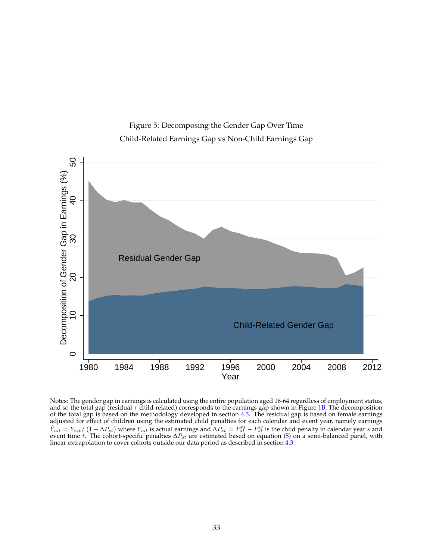<span id="page-33-0"></span>



Notes: The gender gap in earnings is calculated using the entire population aged 16-64 regardless of employment status, and so the total gap (residual + child-related) corresponds to the earnings gap shown in Figure [1B](#page-29-0). The decomposition of the total gap is based on the methodology developed in section [4.3.](#page-16-1) The residual gap is based on female earnings adjusted for effect of children using the estimated child penalties for each calendar and event year, namely earnings  $\hat{Y}_{ist} = Y_{ist}/(1-\Delta P_{st})$  where  $Y_{ist}$  is actual earnings and  $\Delta P_{st} = P_{st}^m - P_{st}^w$  is the child penalty in calendar year s and event time t. The cohort-specific penalties  $\Delta P_{st}$  are estimated based on equation [\(5\)](#page-16-0) on a semi-balanced panel, with linear extrapolation to cover cohorts outside our data period as described in section [4.3.](#page-16-1)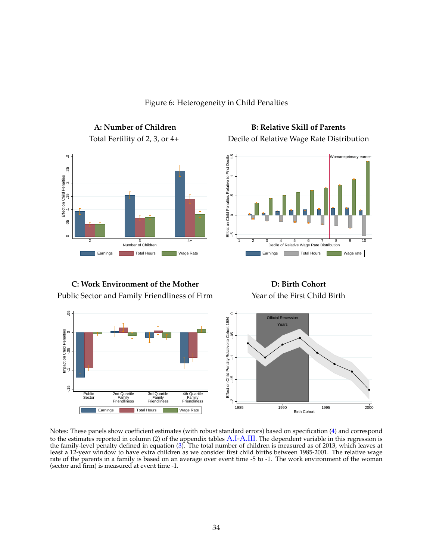

<span id="page-34-0"></span>Figure 6: Heterogeneity in Child Penalties

A: Number of Children B: Relative Skill of Parents Total Fertility of 2, 3, or 4+ Decile of Relative Wage Rate Distribution



**C: Work Environment of the Mother D: Birth Cohort** Public Sector and Family Friendliness of Firm Year of the First Child Birth



Notes: These panels show coefficient estimates (with robust standard errors) based on specification [\(4\)](#page-9-1) and correspond to the estimates reported in column (2) of the appendix tables [A.I](#page-42-0)[-A.III](#page-44-0). The dependent variable in this regression is the family-level penalty defined in equation [\(3\)](#page-9-0). The total number of children is measured as of 2013, which leaves at least a 12-year window to have extra children as we consider first child births between 1985-2001. The relative wage rate of the parents in a family is based on an average over event time -5 to -1. The work environment of the woman (sector and firm) is measured at event time -1.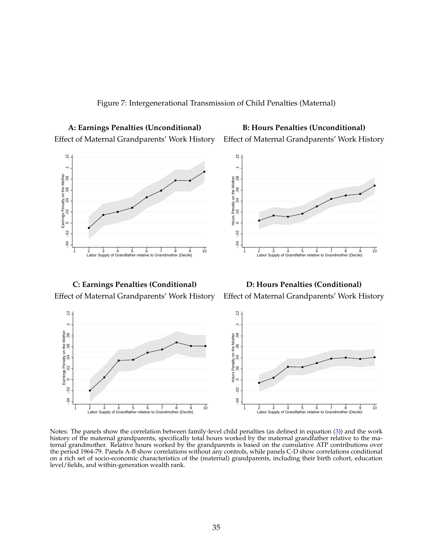<span id="page-35-0"></span>

Effect of Maternal Grandparents' Work History Effect of Maternal Grandparents' Work History

**A: Earnings Penalties (Unconditional) B: Hours Penalties (Unconditional)**



 $\begin{array}{c|cccccc}\n & & & & & & & & & & & \\
\hline\n2 & 3 & 4 & 5 & 6 & 7 & 8 & 9 & 10 & & & & & \\
\hline\n\end{array}$ <br>  $\begin{array}{c|cccccc}\n & & & & & & & & & & \\
\end{array}$ <br>  $\begin{array}{c|cccccc}\n & & & & & & & & & & \\
\end{array}$ <br>  $\begin{array}{c|cccccc}\n & & & & & & & & & & \\
\end{array}$ <br>  $\begin{array}{c|cccccc}\n & & & & & & & & & & \\
\end{array}$ <br>  $\begin{array}{c|cccccc}\n & & & & & & & & & & \\
\end$ Hours Penalty on the Mother<br>0 .02 .04 .06 .08 .02 .04 .06 .08 .1 .12 Hours Penalty on the Mother 1 2 3 4 5 6 7 8 9 10 Labor Supply of Grandfather relative to Grandmother (Decile)

Effect of Maternal Grandparents' Work History Effect of Maternal Grandparents' Work History

**C: Earnings Penalties (Conditional) D: Hours Penalties (Conditional)**



Notes: The panels show the correlation between family-level child penalties (as defined in equation [\(3\)](#page-9-0)) and the work history of the maternal grandparents, specifically total hours worked by the maternal grandfather relative to the maternal grandmother. Relative hours worked by the grandparents is based on the cumulative ATP contributions over the period 1964-79. Panels A-B show correlations without any controls, while panels C-D show correlations conditional on a rich set of socio-economic characteristics of the (maternal) grandparents, including their birth cohort, education level/fields, and within-generation wealth rank.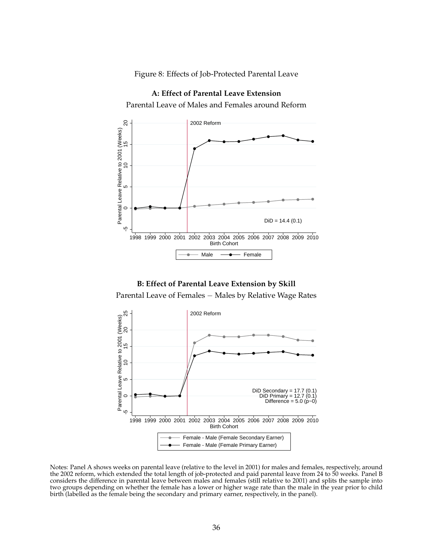<span id="page-36-0"></span>Figure 8: Effects of Job-Protected Parental Leave



**A: Effect of Parental Leave Extension**

**B: Effect of Parental Leave Extension by Skill**

Parental Leave of Females − Males by Relative Wage Rates



Notes: Panel A shows weeks on parental leave (relative to the level in 2001) for males and females, respectively, around the 2002 reform, which extended the total length of job-protected and paid parental leave from 24 to 50 weeks. Panel B considers the difference in parental leave between males and females (still relative to 2001) and splits the sample into two groups depending on whether the female has a lower or higher wage rate than the male in the year prior to child birth (labelled as the female being the secondary and primary earner, respectively, in the panel).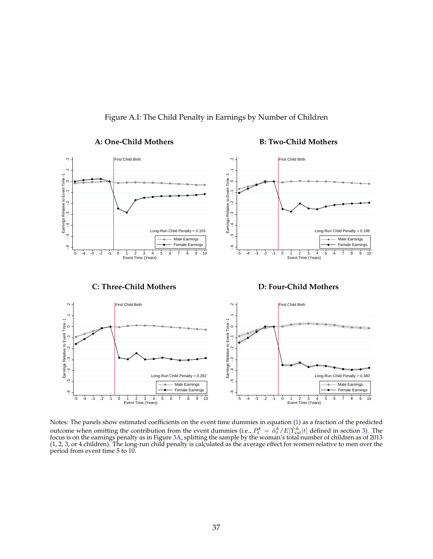

Figure A.I: The Child Penalty in Earnings by Number of Children

Notes: The panels show estimated coefficients on the event time dummies in equation [\(1\)](#page-8-0) as a fraction of the predicted outcome when omitting the contribution from the event dummies (i.e.,  $P_t^k = \hat{\alpha}_t^k / E[Y_{ist}^k|t]$  defined in section [3\)](#page-7-0). The focus is on the earnings penalty as in Figure [3A](#page-31-0), splitting the sample by the woman's total number of children as of 2013 (1, 2, 3, or 4 children). The long-run child penalty is calculated as the average effect for women relative to men over the period from event time 5 to 10.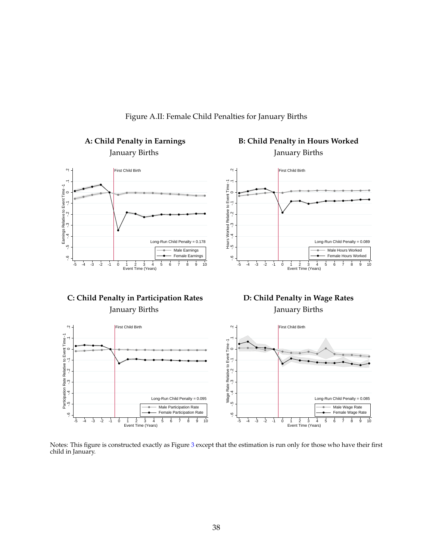![](_page_38_Figure_0.jpeg)

Figure A.II: Female Child Penalties for January Births

Notes: This figure is constructed exactly as Figure [3](#page-31-0) except that the estimation is run only for those who have their first child in January.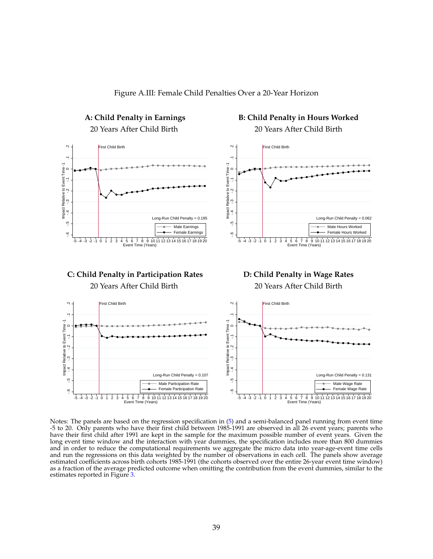![](_page_39_Figure_0.jpeg)

Figure A.III: Female Child Penalties Over a 20-Year Horizon

Notes: The panels are based on the regression specification in [\(5\)](#page-16-0) and a semi-balanced panel running from event time -5 to 20. Only parents who have their first child between 1985-1991 are observed in all 26 event years; parents who have their first child after 1991 are kept in the sample for the maximum possible number of event years. Given the long event time window and the interaction with year dummies, the specification includes more than 800 dummies and in order to reduce the computational requirements we aggregate the micro data into year-age-event time cells and run the regressions on this data weighted by the number of observations in each cell. The panels show average estimated coefficients across birth cohorts 1985-1991 (the cohorts observed over the entire 26-year event time window) as a fraction of the average predicted outcome when omitting the contribution from the event dummies, similar to the estimates reported in Figure [3.](#page-31-0)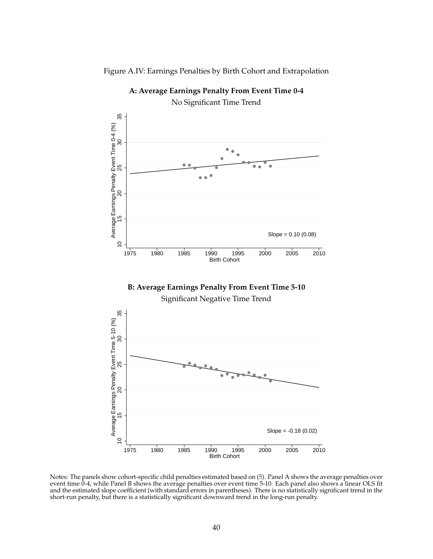![](_page_40_Figure_0.jpeg)

Figure A.IV: Earnings Penalties by Birth Cohort and Extrapolation

Notes: The panels show cohort-specific child penalties estimated based on [\(5\)](#page-16-0). Panel A shows the average penalties over event time 0-4, while Panel B shows the average penalties over event time 5-10. Each panel also shows a linear OLS fit and the estimated slope coefficient (with standard errors in parentheses). There is no statistically significant trend in the short-run penalty, but there is a statistically significant downward trend in the long-run penalty.

**A: Average Earnings Penalty From Event Time 0-4**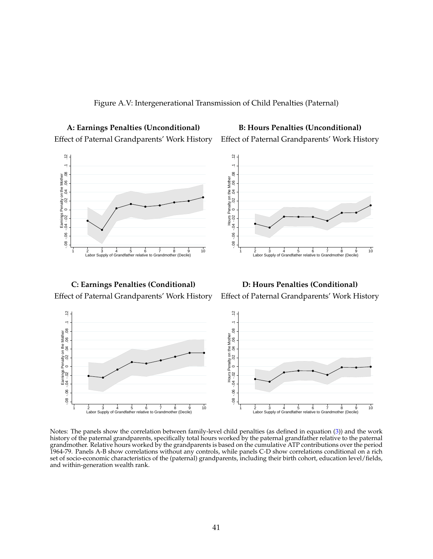![](_page_41_Figure_0.jpeg)

**A: Earnings Penalties (Unconditional) B: Hours Penalties (Unconditional)** Effect of Paternal Grandparents' Work History Effect of Paternal Grandparents' Work History

![](_page_41_Figure_3.jpeg)

**C: Earnings Penalties (Conditional) D: Hours Penalties (Conditional)**

Effect of Paternal Grandparents' Work History Effect of Paternal Grandparents' Work History

![](_page_41_Figure_7.jpeg)

Notes: The panels show the correlation between family-level child penalties (as defined in equation [\(3\)](#page-9-0)) and the work history of the paternal grandparents, specifically total hours worked by the paternal grandfather relative to the paternal grandmother. Relative hours worked by the grandparents is based on the cumulative ATP contributions over the period 1964-79. Panels A-B show correlations without any controls, while panels C-D show correlations conditional on a rich set of socio-economic characteristics of the (paternal) grandparents, including their birth cohort, education level/fields, and within-generation wealth rank.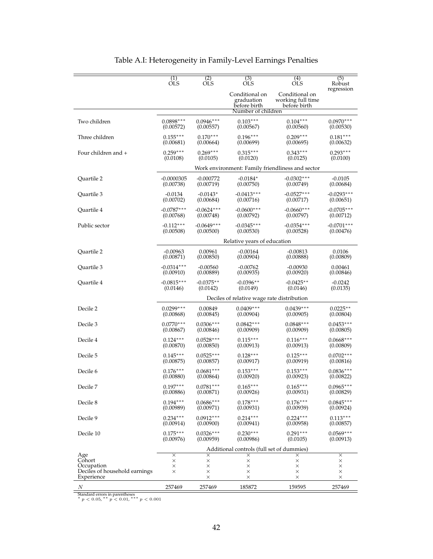|                                                           | (1)                  | (2)                              | (3)                                          | (4)                                                 | (5)                              |  |
|-----------------------------------------------------------|----------------------|----------------------------------|----------------------------------------------|-----------------------------------------------------|----------------------------------|--|
|                                                           | <b>OLS</b>           | <b>OLS</b>                       | <b>OLS</b>                                   | <b>OLS</b>                                          | Robust                           |  |
|                                                           |                      |                                  | Conditional on<br>graduation<br>before birth | Conditional on<br>working full time<br>before birth | regression                       |  |
|                                                           |                      |                                  | Number of children                           |                                                     |                                  |  |
| Two children                                              | $0.0898***$          | $0.0946***$                      | $0.103***$                                   | $0.104***$                                          | $0.0970***$                      |  |
|                                                           | (0.00572)            | (0.00557)                        | (0.00567)                                    | (0.00560)                                           | (0.00530)                        |  |
| Three children                                            | $0.155***$           | $0.170***$                       | $0.196***$                                   | $0.209***$                                          | $0.181***$                       |  |
|                                                           | (0.00681)            | (0.00664)                        | (0.00699)                                    | (0.00695)                                           | (0.00632)                        |  |
| Four children and +                                       | $0.259***$           | $0.269***$                       | $0.315***$                                   | $0.343***$                                          | $0.293***$                       |  |
|                                                           | (0.0108)             | (0.0105)                         | (0.0120)                                     | (0.0125)                                            | (0.0100)                         |  |
|                                                           |                      |                                  |                                              | Work environment: Family friendliness and sector    |                                  |  |
| Quartile 2                                                | $-0.0000305$         | $-0.000772$                      | $-0.0184*$                                   | $-0.0302***$                                        | $-0.0105$                        |  |
|                                                           | (0.00738)            | (0.00719)                        | (0.00750)                                    | (0.00749)                                           | (0.00684)                        |  |
| Quartile 3                                                | $-0.0134$            | $-0.0143*$                       | $-0.0413***$                                 | $-0.0527***$                                        | $-0.0293***$                     |  |
|                                                           | (0.00702)            | (0.00684)                        | (0.00716)                                    | (0.00717)                                           | (0.00651)                        |  |
| Quartile 4                                                | $-0.0787***$         | $-0.0624***$                     | $-0.0600***$                                 | $-0.0660***$                                        | $-0.0705***$                     |  |
|                                                           | (0.00768)            | (0.00748)                        | (0.00792)                                    | (0.00797)                                           | (0.00712)                        |  |
| Public sector                                             | $-0.112***$          | $-0.0649***$                     | $-0.0345***$                                 | $-0.0354***$                                        | $-0.0701***$                     |  |
|                                                           | (0.00508)            | (0.00500)                        | (0.00530)                                    | (0.00528)                                           | (0.00476)                        |  |
|                                                           |                      | Relative years of education      |                                              |                                                     |                                  |  |
| Quartile 2                                                | $-0.00963$           | 0.00961                          | $-0.00164$                                   | $-0.00813$                                          | 0.0106                           |  |
|                                                           | (0.00871)            | (0.00850)                        | (0.00904)                                    | (0.00888)                                           | (0.00809)                        |  |
| Quartile 3                                                | $-0.0314***$         | $-0.00560$                       | $-0.00762$                                   | $-0.00930$                                          | 0.00461                          |  |
|                                                           | (0.00910)            | (0.00889)                        | (0.00935)                                    | (0.00920)                                           | (0.00846)                        |  |
| Quartile 4                                                | $-0.0815***$         | $-0.0375**$                      | $-0.0396**$                                  | $-0.0425**$                                         | $-0.0242$                        |  |
|                                                           | (0.0146)             | (0.0142)                         | (0.0149)                                     | (0.0146)                                            | (0.0135)                         |  |
|                                                           |                      |                                  | Deciles of relative wage rate distribution   |                                                     |                                  |  |
| Decile 2                                                  | $0.0299***$          | 0.00849                          | $0.0409***$                                  | $0.0439***$                                         | $0.0225**$                       |  |
|                                                           | (0.00868)            | (0.00845)                        | (0.00904)                                    | (0.00905)                                           | (0.00804)                        |  |
| Decile 3                                                  | $0.0770***$          | $0.0306***$                      | $0.0842***$                                  | $0.0848***$                                         | $0.0453***$                      |  |
|                                                           | (0.00867)            | (0.00846)                        | (0.00909)                                    | (0.00909)                                           | (0.00805)                        |  |
| Decile 4                                                  | $0.124***$           | $0.0528***$                      | $0.115***$                                   | $0.116***$                                          | $0.0668***$                      |  |
|                                                           | (0.00870)            | (0.00850)                        | (0.00913)                                    | (0.00913)                                           | (0.00809)                        |  |
| Decile 5                                                  | $0.145***$           | $0.0525***$                      | $0.128***$                                   | $0.125***$                                          | $0.0702***$                      |  |
|                                                           | (0.00875)            | (0.00857)                        | (0.00917)                                    | (0.00919)                                           | (0.00816)                        |  |
| Decile 6                                                  | $0.176***$           | $0.0681***$                      | $0.153***$                                   | $0.153***$                                          | $0.0836***$                      |  |
|                                                           | (0.00880)            | (0.00864)                        | (0.00920)                                    | (0.00923)                                           | (0.00822)                        |  |
| Decile 7                                                  | $0.197***$           | $0.0781***$                      | $0.165***$                                   | $0.165***$                                          | $0.0965***$                      |  |
|                                                           | (0.00886)            | (0.00871)                        | (0.00926)                                    | (0.00931)                                           | (0.00829)                        |  |
| Decile 8                                                  | $0.194***$           | $0.0686***$                      | $0.178***$                                   | $0.176***$                                          | $0.0845***$                      |  |
|                                                           | (0.00989)            | (0.00971)                        | (0.00931)                                    | (0.00939)                                           | (0.00924)                        |  |
| Decile 9                                                  | $0.234***$           | $0.0912***$                      | $0.214***$                                   | $0.224***$                                          | $0.113***$                       |  |
|                                                           | (0.00914)            | (0.00900)                        | (0.00941)                                    | (0.00958)                                           | (0.00857)                        |  |
| Decile 10                                                 | $0.175***$           | $0.0326***$                      | $0.230***$                                   | $0.291***$                                          | $0.0569***$                      |  |
|                                                           | (0.00976)            | (0.00959)                        | (0.00986)                                    | (0.0105)                                            | (0.00913)                        |  |
|                                                           |                      |                                  | Additional controls (full set of dummies)    |                                                     |                                  |  |
| Age                                                       | $\times$             | $\times$                         | ×                                            | ×                                                   | $\times$                         |  |
| Cohort                                                    | ×                    | $\times$                         | $\times$                                     | $\times$                                            | ×                                |  |
| Occupation<br>Deciles of household earnings<br>Experience | $\times$<br>$\times$ | $\times$<br>$\times$<br>$\times$ | $\times$<br>$\times$<br>$\times$             | $\times$<br>$\times$<br>$\times$                    | $\times$<br>$\times$<br>$\times$ |  |
|                                                           | 257469               | 257469                           | 185872                                       | 159595                                              | 257469                           |  |
| N                                                         |                      |                                  |                                              |                                                     |                                  |  |

<span id="page-42-0"></span>

| Table A.I: Heterogeneity in Family-Level Earnings Penalties |  |  |
|-------------------------------------------------------------|--|--|
|-------------------------------------------------------------|--|--|

Standard errors in parentheses<br>\*  $p < 0.05$ , \*\*  $p < 0.01$ , \*\*\*  $p < 0.001$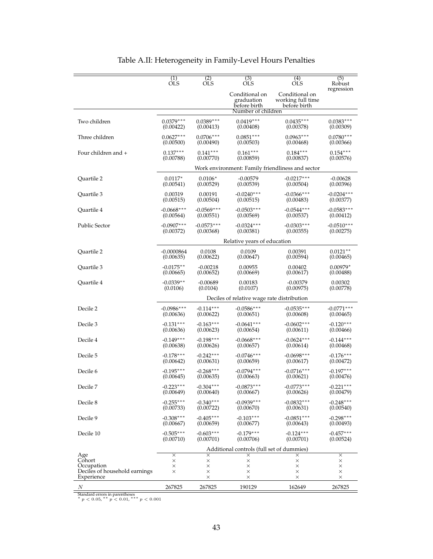|                               | $\overline{(1)}$                          | (2)                                        | $\overline{(3)}$                             | $\overline{(4)}$                                    | (5)                     |  |
|-------------------------------|-------------------------------------------|--------------------------------------------|----------------------------------------------|-----------------------------------------------------|-------------------------|--|
|                               | <b>OLS</b>                                | OLS                                        | <b>OLS</b>                                   | OLS                                                 | Robust                  |  |
|                               |                                           |                                            | Conditional on<br>graduation<br>before birth | Conditional on<br>working full time<br>before birth | regression              |  |
|                               |                                           |                                            | Number of children                           |                                                     |                         |  |
| Two children                  | $0.0379***$                               | $0.0389***$                                | $0.0419***$                                  | $0.0435***$                                         | $0.0383***$             |  |
|                               | (0.00422)                                 | (0.00413)                                  | (0.00408)                                    | (0.00378)                                           | (0.00309)               |  |
| Three children                | $0.0627***$                               | $0.0706***$                                | $0.0851***$                                  | $0.0963***$                                         | $0.0780***$             |  |
|                               | (0.00500)                                 | (0.00490)                                  | (0.00503)                                    | (0.00468)                                           | (0.00366)               |  |
| Four children and +           | $0.137***$                                | $0.141***$                                 | $0.161***$                                   | $0.184***$                                          | $0.154***$              |  |
|                               | (0.00788)                                 | (0.00770)                                  | (0.00859)                                    | (0.00837)                                           | (0.00576)               |  |
|                               |                                           |                                            |                                              | Work environment: Family friendliness and sector    |                         |  |
|                               | $0.0117*$                                 | $0.0106*$                                  | $-0.00579$                                   | $-0.0217***$                                        |                         |  |
| Quartile 2                    | (0.00541)                                 | (0.00529)                                  | (0.00539)                                    | (0.00504)                                           | $-0.00628$<br>(0.00396) |  |
| Quartile 3                    | 0.00319                                   | 0.00191                                    | $-0.0240***$                                 | $-0.0366***$                                        | $-0.0204***$            |  |
|                               | (0.00515)                                 | (0.00504)                                  | (0.00515)                                    | (0.00483)                                           | (0.00377)               |  |
| Quartile 4                    | $-0.0668***$                              | $-0.0569***$                               | $-0.0503***$                                 | $-0.0544***$                                        | $-0.0583***$            |  |
|                               | (0.00564)                                 | (0.00551)                                  | (0.00569)                                    | (0.00537)                                           | (0.00412)               |  |
| Public Sector                 | $-0.0907***$                              | $-0.0573***$                               | $-0.0324***$                                 | $-0.0303***$                                        | $-0.0510***$            |  |
|                               | (0.00372)                                 | (0.00368)                                  | (0.00381)                                    | (0.00355)                                           | (0.00275)               |  |
|                               | Relative years of education               |                                            |                                              |                                                     |                         |  |
| Quartile 2                    | $-0.0000864$                              | 0.0108                                     | 0.0109                                       | 0.00391                                             | $0.0121**$              |  |
|                               | (0.00635)                                 | (0.00622)                                  | (0.00647)                                    | (0.00594)                                           | (0.00465)               |  |
| Ouartile 3                    | $-0.0175**$                               | $-0.00218$                                 | 0.00955                                      | 0.00402                                             | $0.00979*$              |  |
|                               | (0.00665)                                 | (0.00652)                                  | (0.00669)                                    | (0.00617)                                           | (0.00488)               |  |
| Quartile 4                    | $-0.0339**$                               | $-0.00689$                                 | 0.00183                                      | $-0.00379$                                          | 0.00302                 |  |
|                               | (0.0106)                                  | (0.0104)                                   | (0.0107)                                     | (0.00975)                                           | (0.00778)               |  |
|                               |                                           | Deciles of relative wage rate distribution |                                              |                                                     |                         |  |
| Decile 2                      | $-0.0986***$                              | $-0.114***$                                | $-0.0586***$                                 | $-0.0535***$                                        | $-0.0771***$            |  |
|                               | (0.00636)                                 | (0.00622)                                  | (0.00651)                                    | (0.00608)                                           | (0.00465)               |  |
| Decile 3                      | $-0.131***$                               | $-0.163***$                                | $-0.0641***$                                 | $-0.0602***$                                        | $-0.120***$             |  |
|                               | (0.00636)                                 | (0.00623)                                  | (0.00654)                                    | (0.00611)                                           | (0.00466)               |  |
| Decile 4                      | $-0.149***$                               | $-0.198***$                                | $-0.0668***$                                 | $-0.0624***$                                        | $-0.144***$             |  |
|                               | (0.00638)                                 | (0.00626)                                  | (0.00657)                                    | (0.00614)                                           | (0.00468)               |  |
| Decile 5                      | $-0.178***$                               | $-0.242***$                                | $-0.0746***$                                 | $-0.0698***$                                        | $-0.176***$             |  |
|                               | (0.00642)                                 | (0.00631)                                  | (0.00659)                                    | (0.00617)                                           | (0.00472)               |  |
| Decile 6                      | $-0.195***$                               | $-0.268***$                                | $-0.0794***$                                 | $-0.0716***$                                        | $-0.197***$             |  |
|                               | (0.00645)                                 | (0.00635)                                  | (0.00663)                                    | (0.00621)                                           | (0.00476)               |  |
| Decile 7                      | $-0.223***$                               | $-0.304***$                                | $-0.0873***$                                 | $-0.0773***$                                        | $-0.221***$             |  |
|                               | (0.00649)                                 | (0.00640)                                  | (0.00667)                                    | (0.00626)                                           | (0.00479)               |  |
| Decile 8                      | $-0.255***$                               | $-0.340***$                                | $-0.0939***$                                 | $-0.0832***$                                        | $-0.248***$             |  |
|                               | (0.00733)                                 | (0.00722)                                  | (0.00670)                                    | (0.00631)                                           | (0.00540)               |  |
| Decile 9                      | $-0.308***$                               | $-0.405***$                                | $-0.103***$                                  | $-0.0851***$                                        | $-0.298***$             |  |
|                               | (0.00667)                                 | (0.00659)                                  | (0.00677)                                    | (0.00643)                                           | (0.00493)               |  |
| Decile 10                     | $-0.505***$                               | $-0.603***$                                | $-0.179***$                                  | $-0.124***$                                         | $-0.457***$             |  |
|                               | (0.00710)                                 | (0.00701)                                  | (0.00706)                                    | (0.00701)                                           | (0.00524)               |  |
|                               | Additional controls (full set of dummies) |                                            |                                              |                                                     |                         |  |
| Age                           | $\overline{\mathsf{x}}$                   | $\times$                                   | $\times$                                     | ×                                                   | $\overline{\times}$     |  |
| Cohort                        | ×                                         | ×                                          | $\times$                                     | ×                                                   | ×                       |  |
| Occupation                    | ×                                         | $\times$                                   | $\times$                                     | ×                                                   | $\times$                |  |
| Deciles of household earnings | $\times$                                  | $\times$                                   | ×                                            | ×                                                   | $\times$                |  |
| Experience                    |                                           | $\times$                                   | ×                                            | ×                                                   | $\times$                |  |
| Ν                             | 267825                                    | 267825                                     | 190129                                       | 162649                                              | 267825                  |  |
|                               |                                           |                                            |                                              |                                                     |                         |  |

## Table A.II: Heterogeneity in Family-Level Hours Penalties

Standard errors in parentheses<br>\*  $p < 0.05$ , \*\*  $p < 0.01$ , \*\*\*  $p < 0.001$